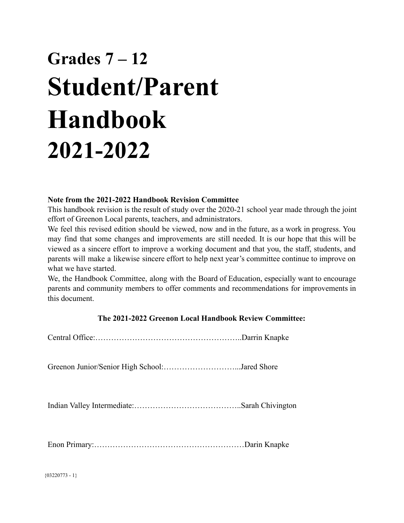# **Grades 7 – 12 Student/Parent Handbook 2021-2022**

#### **Note from the 2021-2022 Handbook Revision Committee**

This handbook revision is the result of study over the 2020-21 school year made through the joint effort of Greenon Local parents, teachers, and administrators.

We feel this revised edition should be viewed, now and in the future, as a work in progress. You may find that some changes and improvements are still needed. It is our hope that this will be viewed as a sincere effort to improve a working document and that you, the staff, students, and parents will make a likewise sincere effort to help next year's committee continue to improve on what we have started.

We, the Handbook Committee, along with the Board of Education, especially want to encourage parents and community members to offer comments and recommendations for improvements in this document.

#### **The 2021-2022 Greenon Local Handbook Review Committee:**

Central Office:………………………………………………..Darrin Knapke

Greenon Junior/Senior High School:………………………...Jared Shore

Indian Valley Intermediate:…………………………………..Sarah Chivington

Enon Primary:…………………………………………………Darin Knapke

{03220773 - 1}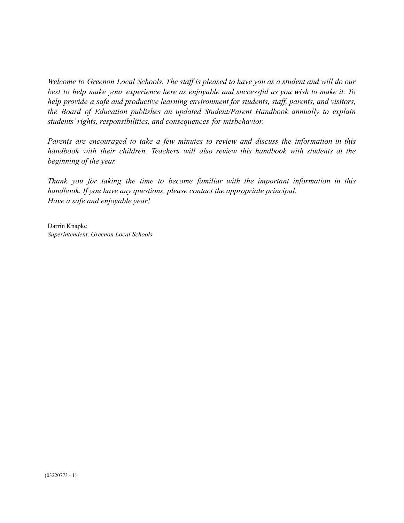Welcome to Greenon Local Schools. The staff is pleased to have you as a student and will do our *best to help make your experience here as enjoyable and successful as you wish to make it. To help provide a safe and productive learning environment for students, staff, parents, and visitors, the Board of Education publishes an updated Student/Parent Handbook annually to explain students' rights, responsibilities, and consequences for misbehavior.*

*Parents are encouraged to take a few minutes to review and discuss the information in this handbook with their children. Teachers will also review this handbook with students at the beginning of the year.*

*Thank you for taking the time to become familiar with the important information in this handbook. If you have any questions, please contact the appropriate principal. Have a safe and enjoyable year!*

Darrin Knapke *Superintendent, Greenon Local Schools*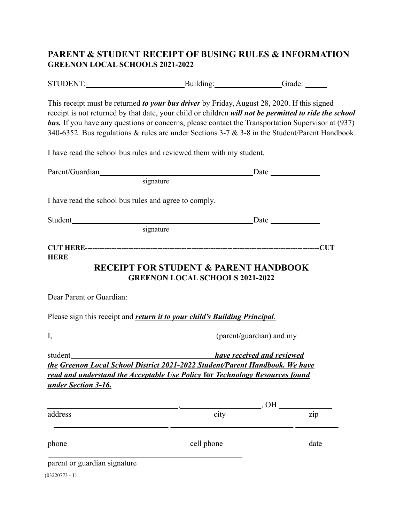#### **PARENT & STUDENT RECEIPT OF BUSING RULES & INFORMATION GREENON LOCAL SCHOOLS 2021-2022**

| <b>STUDENT:</b> | Building: | drade: |
|-----------------|-----------|--------|
|                 |           |        |

This receipt must be returned *to your bus driver* by Friday, August 28, 2020. If this signed receipt is not returned by that date, your child or children *will not be permitted to ride the school* **bus.** If you have any questions or concerns, please contact the Transportation Supervisor at (937) 340-6352. Bus regulations & rules are under Sections 3-7 & 3-8 in the Student/Parent Handbook.

I have read the school bus rules and reviewed them with my student.

| Parent/Guardian                                       | <b>Example 12</b> Date                                                                     |                                      |
|-------------------------------------------------------|--------------------------------------------------------------------------------------------|--------------------------------------|
|                                                       | signature                                                                                  |                                      |
| I have read the school bus rules and agree to comply. |                                                                                            |                                      |
|                                                       |                                                                                            |                                      |
|                                                       | signature                                                                                  |                                      |
|                                                       |                                                                                            |                                      |
| <b>HERE</b>                                           | <b>RECEIPT FOR STUDENT &amp; PARENT HANDBOOK</b><br><b>GREENON LOCAL SCHOOLS 2021-2022</b> |                                      |
| Dear Parent or Guardian:                              |                                                                                            |                                      |
|                                                       | Please sign this receipt and <i>return it to your child's Building Principal</i> .         |                                      |
|                                                       | I, (parent/guardian) and my                                                                |                                      |
| student                                               | <b>Example 2 India 2 India 2 Incredict 2 Inches</b>                                        |                                      |
|                                                       | the Greenon Local School District 2021-2022 Student/Parent Handbook. We have               |                                      |
| under Section 3-16.                                   | read and understand the Acceptable Use Policy for Technology Resources found               |                                      |
|                                                       |                                                                                            | $\rule{1em}{0}$ , OH $\rule{1em}{0}$ |
| address                                               | city                                                                                       | zip                                  |
| phone                                                 | cell phone                                                                                 | date                                 |
| parent or guardian signature                          |                                                                                            |                                      |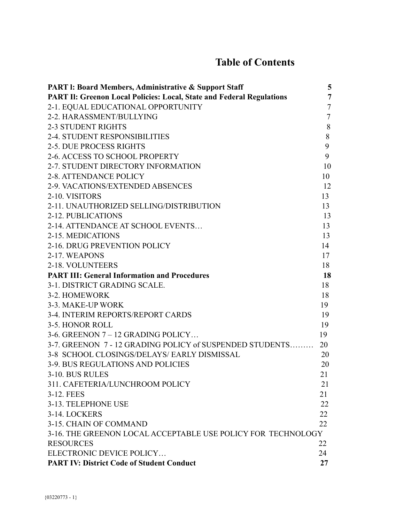## **Table of Contents**

| <b>PART 1: Board Members, Administrative &amp; Support Staff</b>             | 5              |
|------------------------------------------------------------------------------|----------------|
| <b>PART II: Greenon Local Policies: Local, State and Federal Regulations</b> | $\overline{7}$ |
| 2-1. EQUAL EDUCATIONAL OPPORTUNITY                                           | $\overline{7}$ |
| 2-2. HARASSMENT/BULLYING                                                     | $\tau$         |
| <b>2-3 STUDENT RIGHTS</b>                                                    | 8              |
| <b>2-4. STUDENT RESPONSIBILITIES</b>                                         | $8\,$          |
| <b>2-5. DUE PROCESS RIGHTS</b>                                               | 9              |
| 2-6. ACCESS TO SCHOOL PROPERTY                                               | 9              |
| 2-7. STUDENT DIRECTORY INFORMATION                                           | 10             |
| <b>2-8. ATTENDANCE POLICY</b>                                                | 10             |
| 2-9. VACATIONS/EXTENDED ABSENCES                                             | 12             |
| 2-10. VISITORS                                                               | 13             |
| 2-11. UNAUTHORIZED SELLING/DISTRIBUTION                                      | 13             |
| 2-12. PUBLICATIONS                                                           | 13             |
| 2-14. ATTENDANCE AT SCHOOL EVENTS                                            | 13             |
| 2-15. MEDICATIONS                                                            | 13             |
| 2-16. DRUG PREVENTION POLICY                                                 | 14             |
| 2-17. WEAPONS                                                                | 17             |
| 2-18. VOLUNTEERS                                                             | 18             |
| <b>PART III: General Information and Procedures</b>                          | 18             |
| 3-1. DISTRICT GRADING SCALE.                                                 | 18             |
| 3-2. HOMEWORK                                                                | 18             |
| 3-3. MAKE-UP WORK                                                            | 19             |
| 3-4. INTERIM REPORTS/REPORT CARDS                                            | 19             |
| 3-5. HONOR ROLL                                                              | 19             |
| 3-6. GREENON 7 - 12 GRADING POLICY                                           | 19             |
| 3-7. GREENON 7 - 12 GRADING POLICY of SUSPENDED STUDENTS                     | 20             |
| 3-8 SCHOOL CLOSINGS/DELAYS/ EARLY DISMISSAL                                  | 20             |
| 3-9. BUS REGULATIONS AND POLICIES                                            | 20             |
| 3-10. BUS RULES                                                              | 21             |
| 311. CAFETERIA/LUNCHROOM POLICY                                              | 21             |
| 3-12. FEES                                                                   | 21             |
| 3-13. TELEPHONE USE                                                          | 22             |
| 3-14. LOCKERS                                                                | 22             |
| 3-15. CHAIN OF COMMAND                                                       | 22             |
| 3-16. THE GREENON LOCAL ACCEPTABLE USE POLICY FOR TECHNOLOGY                 |                |
| <b>RESOURCES</b>                                                             | 22             |
| ELECTRONIC DEVICE POLICY                                                     | 24             |
| <b>PART IV: District Code of Student Conduct</b>                             | 27             |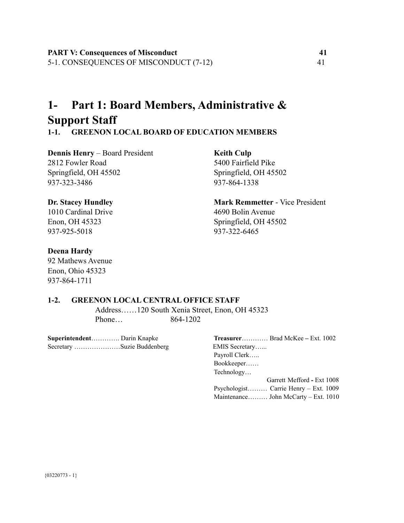## **1- Part 1: Board Members, Administrative & Support Staff**

#### **1-1. GREENON LOCAL BOARD OF EDUCATION MEMBERS**

**Dennis Henry** – Board President **Keith Culp** 2812 Fowler Road 5400 Fairfield Pike Springfield, OH 45502 Springfield, OH 45502 937-323-3486 937-864-1338

1010 Cardinal Drive 4690 Bolin Avenue 937-925-5018 937-322-6465

#### **Deena Hardy**

92 Mathews Avenue Enon, Ohio 45323 937-864-1711

**Dr. Stacey Hundley Mark Remmetter** - Vice President Enon, OH 45323 Springfield, OH 45502

#### **1-2. GREENON LOCAL CENTRAL OFFICE STAFF**

Address……120 South Xenia Street, Enon, OH 45323 Phone… 864-1202

**Superintendent**…………. Darin Knapke **Treasurer**………… Brad McKee **–** Ext. 1002 Secretary …………………………Suzie Buddenberg EMIS Secretary……

Payroll Clerk….. Bookkeeper…… Technology… Garrett Mefford **-** Ext 1008 Psychologist……… Carrie Henry – Ext. 1009 Maintenance……… John McCarty – Ext. 1010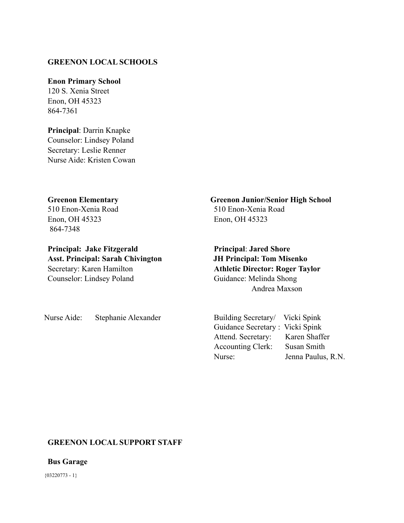#### **GREENON LOCAL SCHOOLS**

#### **Enon Primary School**

120 S. Xenia Street Enon, OH 45323 864-7361

**Principal**: Darrin Knapke Counselor: Lindsey Poland Secretary: Leslie Renner Nurse Aide: Kristen Cowan

#### **Greenon Elementary Greenon Junior/Senior High School**

Enon, OH 45323 Enon, OH 45323 864-7348

**Principal: Jake Fitzgerald Principal: Jared Shore Asst. Principal: Sarah Chivington JH Principal: Tom Misenko** Secretary: Karen Hamilton **Athletic Director: Roger Taylor** Counselor: Lindsey Poland Guidance: Melinda Shong

510 Enon-Xenia Road 510 Enon-Xenia Road

Andrea Maxson

Nurse Aide: Stephanie Alexander Building Secretary/ Vicki Spink

Guidance Secretary : Vicki Spink Attend. Secretary: Karen Shaffer Accounting Clerk: Susan Smith Nurse: Jenna Paulus, R.N.

#### **GREENON LOCAL SUPPORT STAFF**

**Bus Garage**

 ${03220773 - 1}$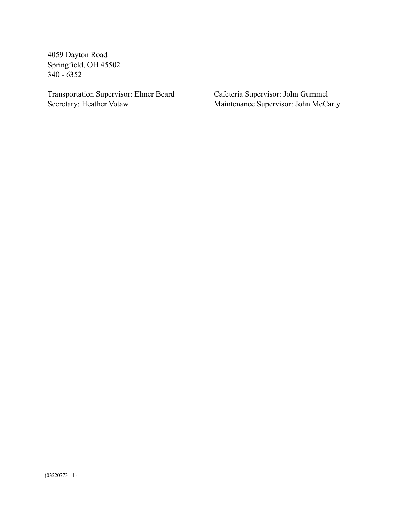4059 Dayton Road Springfield, OH 45502 340 - 6352

Transportation Supervisor: Elmer Beard Cafeteria Supervisor: John Gummel<br>Secretary: Heather Votaw Maintenance Supervisor: John McCa

Maintenance Supervisor: John McCarty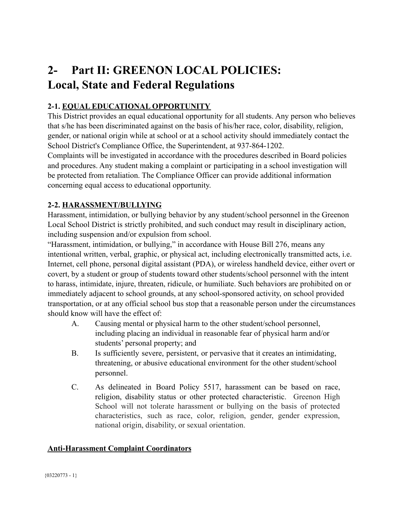## **2- Part II: GREENON LOCAL POLICIES: Local, State and Federal Regulations**

#### **2-1. EQUAL EDUCATIONAL OPPORTUNITY**

This District provides an equal educational opportunity for all students. Any person who believes that s/he has been discriminated against on the basis of his/her race, color, disability, religion, gender, or national origin while at school or at a school activity should immediately contact the School District's Compliance Office, the Superintendent, at 937-864-1202.

Complaints will be investigated in accordance with the procedures described in Board policies and procedures. Any student making a complaint or participating in a school investigation will be protected from retaliation. The Compliance Officer can provide additional information concerning equal access to educational opportunity.

#### <span id="page-8-1"></span>**2-2. HARASSMENT/BULLYING**

Harassment, intimidation, or bullying behavior by any student/school personnel in the Greenon Local School District is strictly prohibited, and such conduct may result in disciplinary action, including suspension and/or expulsion from school.

"Harassment, intimidation, or bullying," in accordance with House Bill 276, means any intentional written, verbal, graphic, or physical act, including electronically transmitted acts, i.e. Internet, cell phone, personal digital assistant (PDA), or wireless handheld device, either overt or covert, by a student or group of students toward other students/school personnel with the intent to harass, intimidate, injure, threaten, ridicule, or humiliate. Such behaviors are prohibited on or immediately adjacent to school grounds, at any school-sponsored activity, on school provided transportation, or at any official school bus stop that a reasonable person under the circumstances should know will have the effect of:

- A. Causing mental or physical harm to the other student/school personnel, including placing an individual in reasonable fear of physical harm and/or students' personal property; and
- B. Is sufficiently severe, persistent, or pervasive that it creates an intimidating, threatening, or abusive educational environment for the other student/school personnel.
- C. As delineated in Board Policy 5517, harassment can be based on race, religion, disability status or other protected characteristic. Greenon High School will not tolerate harassment or bullying on the basis of protected characteristics, such as race, color, religion, gender, gender expression, national origin, disability, or sexual orientation.

#### <span id="page-8-0"></span>**Anti-Harassment Complaint Coordinators**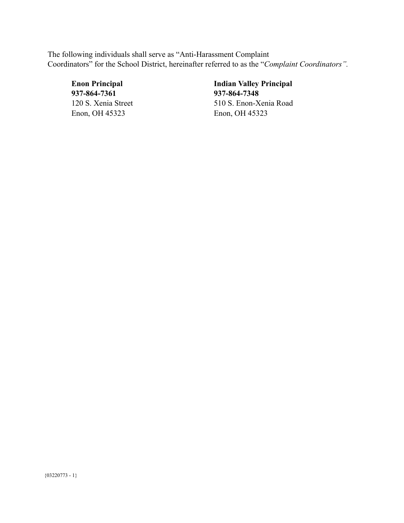The following individuals shall serve as "Anti-Harassment Complaint Coordinators" for the School District, hereinafter referred to as the "*Complaint Coordinators".*

**937-864-7361 937-864-7348** Enon, OH 45323 Enon, OH 45323

**Enon Principal Indian Valley Principal** 120 S. Xenia Street 510 S. Enon-Xenia Road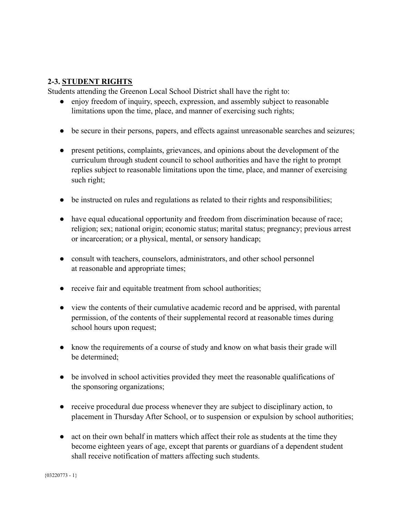#### <span id="page-10-0"></span>**2-3. STUDENT RIGHTS**

Students attending the Greenon Local School District shall have the right to:

- enjoy freedom of inquiry, speech, expression, and assembly subject to reasonable limitations upon the time, place, and manner of exercising such rights;
- be secure in their persons, papers, and effects against unreasonable searches and seizures;
- present petitions, complaints, grievances, and opinions about the development of the curriculum through student council to school authorities and have the right to prompt replies subject to reasonable limitations upon the time, place, and manner of exercising such right;
- be instructed on rules and regulations as related to their rights and responsibilities;
- have equal educational opportunity and freedom from discrimination because of race; religion; sex; national origin; economic status; marital status; pregnancy; previous arrest or incarceration; or a physical, mental, or sensory handicap;
- consult with teachers, counselors, administrators, and other school personnel at reasonable and appropriate times;
- receive fair and equitable treatment from school authorities;
- view the contents of their cumulative academic record and be apprised, with parental permission, of the contents of their supplemental record at reasonable times during school hours upon request;
- know the requirements of a course of study and know on what basis their grade will be determined;
- be involved in school activities provided they meet the reasonable qualifications of the sponsoring organizations;
- receive procedural due process whenever they are subject to disciplinary action, to placement in Thursday After School, or to suspension or expulsion by school authorities;
- act on their own behalf in matters which affect their role as students at the time they become eighteen years of age, except that parents or guardians of a dependent student shall receive notification of matters affecting such students.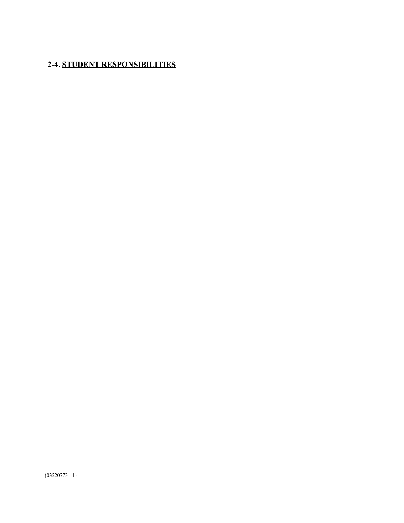### <span id="page-11-0"></span>**2-4. STUDENT RESPONSIBILITIES**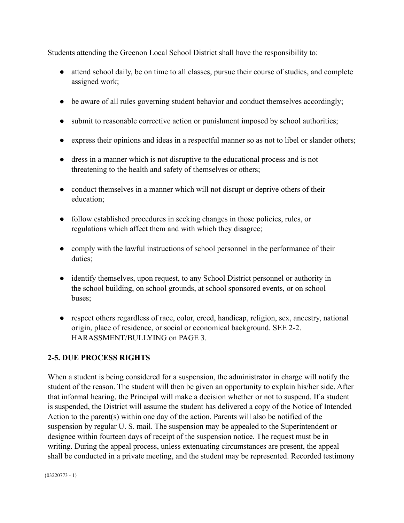Students attending the Greenon Local School District shall have the responsibility to:

- attend school daily, be on time to all classes, pursue their course of studies, and complete assigned work;
- be aware of all rules governing student behavior and conduct themselves accordingly;
- submit to reasonable corrective action or punishment imposed by school authorities;
- express their opinions and ideas in a respectful manner so as not to libel or slander others;
- dress in a manner which is not disruptive to the educational process and is not threatening to the health and safety of themselves or others;
- conduct themselves in a manner which will not disrupt or deprive others of their education;
- follow established procedures in seeking changes in those policies, rules, or regulations which affect them and with which they disagree;
- comply with the lawful instructions of school personnel in the performance of their duties;
- identify themselves, upon request, to any School District personnel or authority in the school building, on school grounds, at school sponsored events, or on school buses;
- respect others regardless of race, color, creed, handicap, religion, sex, ancestry, national origin, place of residence, or social or economical background. SEE 2-2. HARASSMENT/BULLYING on PAGE 3.

#### <span id="page-12-0"></span>**2-5. DUE PROCESS RIGHTS**

When a student is being considered for a suspension, the administrator in charge will notify the student of the reason. The student will then be given an opportunity to explain his/her side. After that informal hearing, the Principal will make a decision whether or not to suspend. If a student is suspended, the District will assume the student has delivered a copy of the Notice of Intended Action to the parent(s) within one day of the action. Parents will also be notified of the suspension by regular U. S. mail. The suspension may be appealed to the Superintendent or designee within fourteen days of receipt of the suspension notice. The request must be in writing. During the appeal process, unless extenuating circumstances are present, the appeal shall be conducted in a private meeting, and the student may be represented. Recorded testimony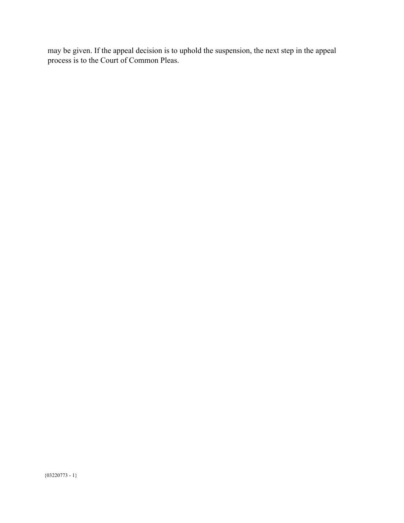may be given. If the appeal decision is to uphold the suspension, the next step in the appeal process is to the Court of Common Pleas.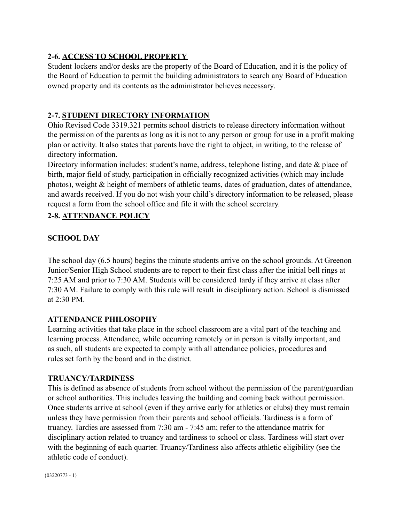#### <span id="page-14-0"></span>**2-6. ACCESS TO SCHOOL PROPERTY**

Student lockers and/or desks are the property of the Board of Education, and it is the policy of the Board of Education to permit the building administrators to search any Board of Education owned property and its contents as the administrator believes necessary.

#### <span id="page-14-1"></span>**2-7. STUDENT DIRECTORY INFORMATION**

Ohio Revised Code 3319.321 permits school districts to release directory information without the permission of the parents as long as it is not to any person or group for use in a profit making plan or activity. It also states that parents have the right to object, in writing, to the release of directory information.

Directory information includes: student's name, address, telephone listing, and date & place of birth, major field of study, participation in officially recognized activities (which may include photos), weight & height of members of athletic teams, dates of graduation, dates of attendance, and awards received. If you do not wish your child's directory information to be released, please request a form from the school office and file it with the school secretary.

#### **2-8. ATTENDANCE POLICY**

#### **SCHOOL DAY**

The school day (6.5 hours) begins the minute students arrive on the school grounds. At Greenon Junior/Senior High School students are to report to their first class after the initial bell rings at 7:25 AM and prior to 7:30 AM. Students will be considered tardy if they arrive at class after 7:30 AM. Failure to comply with this rule will result in disciplinary action. School is dismissed at  $2:30$  PM.

#### **ATTENDANCE PHILOSOPHY**

Learning activities that take place in the school classroom are a vital part of the teaching and learning process. Attendance, while occurring remotely or in person is vitally important, and as such, all students are expected to comply with all attendance policies, procedures and rules set forth by the board and in the district.

#### **TRUANCY/TARDINESS**

This is defined as absence of students from school without the permission of the parent/guardian or school authorities. This includes leaving the building and coming back without permission. Once students arrive at school (even if they arrive early for athletics or clubs) they must remain unless they have permission from their parents and school officials. Tardiness is a form of truancy. Tardies are assessed from 7:30 am - 7:45 am; refer to the attendance matrix for disciplinary action related to truancy and tardiness to school or class. Tardiness will start over with the beginning of each quarter. Truancy/Tardiness also affects athletic eligibility (see the athletic code of conduct).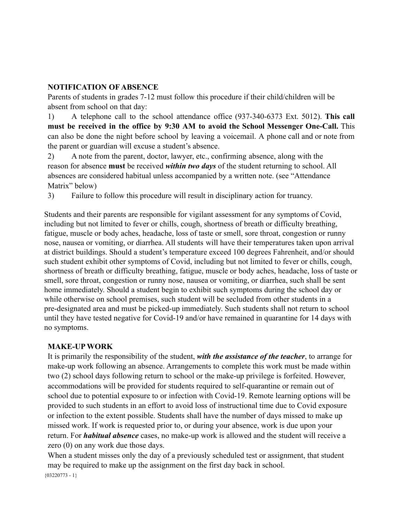#### **NOTIFICATION OF ABSENCE**

Parents of students in grades 7-12 must follow this procedure if their child/children will be absent from school on that day:

1) A telephone call to the school attendance office (937-340-6373 Ext. 5012). **This call must be received in the office by 9:30 AM to avoid the School Messenger One-Call.** This can also be done the night before school by leaving a voicemail. A phone call and or note from the parent or guardian will excuse a student's absence.

2) A note from the parent, doctor, lawyer, etc., confirming absence, along with the reason for absence **must** be received *within two days* of the student returning to school. All absences are considered habitual unless accompanied by a written note. (see "Attendance Matrix" below)

3) Failure to follow this procedure will result in disciplinary action for truancy.

Students and their parents are responsible for vigilant assessment for any symptoms of Covid, including but not limited to fever or chills, cough, shortness of breath or difficulty breathing, fatigue, muscle or body aches, headache, loss of taste or smell, sore throat, congestion or runny nose, nausea or vomiting, or diarrhea. All students will have their temperatures taken upon arrival at district buildings. Should a student's temperature exceed 100 degrees Fahrenheit, and/or should such student exhibit other symptoms of Covid, including but not limited to fever or chills, cough, shortness of breath or difficulty breathing, fatigue, muscle or body aches, headache, loss of taste or smell, sore throat, congestion or runny nose, nausea or vomiting, or diarrhea, such shall be sent home immediately. Should a student begin to exhibit such symptoms during the school day or while otherwise on school premises, such student will be secluded from other students in a pre-designated area and must be picked-up immediately. Such students shall not return to school until they have tested negative for Covid-19 and/or have remained in quarantine for 14 days with no symptoms.

#### **MAKE-UP WORK**

It is primarily the responsibility of the student, *with the assistance of the teacher*, to arrange for make-up work following an absence. Arrangements to complete this work must be made within two (2) school days following return to school or the make-up privilege is forfeited. However, accommodations will be provided for students required to self-quarantine or remain out of school due to potential exposure to or infection with Covid-19. Remote learning options will be provided to such students in an effort to avoid loss of instructional time due to Covid exposure or infection to the extent possible. Students shall have the number of days missed to make up missed work. If work is requested prior to, or during your absence, work is due upon your return. For *habitual absence* cases, no make-up work is allowed and the student will receive a zero (0) on any work due those days.

When a student misses only the day of a previously scheduled test or assignment, that student may be required to make up the assignment on the first day back in school.  ${03220773 - 1}$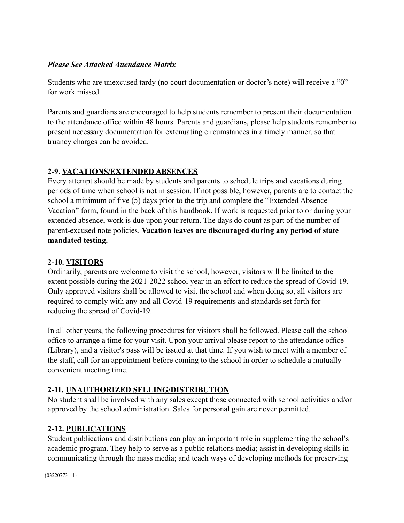#### *Please See Attached Attendance Matrix*

Students who are unexcused tardy (no court documentation or doctor's note) will receive a "0" for work missed.

Parents and guardians are encouraged to help students remember to present their documentation to the attendance office within 48 hours. Parents and guardians, please help students remember to present necessary documentation for extenuating circumstances in a timely manner, so that truancy charges can be avoided.

#### <span id="page-16-0"></span>**2-9. VACATIONS/EXTENDED ABSENCES**

Every attempt should be made by students and parents to schedule trips and vacations during periods of time when school is not in session. If not possible, however, parents are to contact the school a minimum of five (5) days prior to the trip and complete the "Extended Absence Vacation" form, found in the back of this handbook. If work is requested prior to or during your extended absence, work is due upon your return. The days do count as part of the number of parent-excused note policies. **Vacation leaves are discouraged during any period of state mandated testing.**

#### <span id="page-16-1"></span>**2-10. VISITORS**

Ordinarily, parents are welcome to visit the school, however, visitors will be limited to the extent possible during the 2021-2022 school year in an effort to reduce the spread of Covid-19. Only approved visitors shall be allowed to visit the school and when doing so, all visitors are required to comply with any and all Covid-19 requirements and standards set forth for reducing the spread of Covid-19.

In all other years, the following procedures for visitors shall be followed. Please call the school office to arrange a time for your visit. Upon your arrival please report to the attendance office (Library), and a visitor's pass will be issued at that time. If you wish to meet with a member of the staff, call for an appointment before coming to the school in order to schedule a mutually convenient meeting time.

#### <span id="page-16-2"></span>**2-11. UNAUTHORIZED SELLING/DISTRIBUTION**

No student shall be involved with any sales except those connected with school activities and/or approved by the school administration. Sales for personal gain are never permitted.

#### <span id="page-16-3"></span>**2-12. PUBLICATIONS**

Student publications and distributions can play an important role in supplementing the school's academic program. They help to serve as a public relations media; assist in developing skills in communicating through the mass media; and teach ways of developing methods for preserving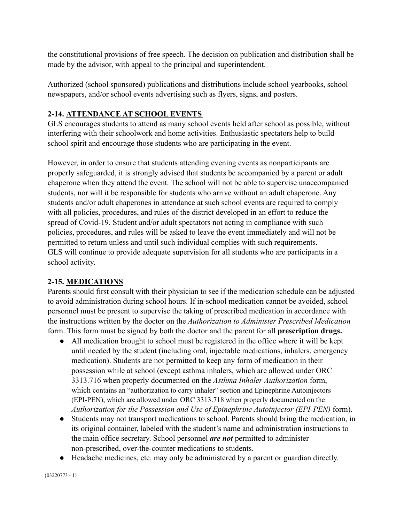the constitutional provisions of free speech. The decision on publication and distribution shall be made by the advisor, with appeal to the principal and superintendent.

Authorized (school sponsored) publications and distributions include school yearbooks, school newspapers, and/or school events advertising such as flyers, signs, and posters.

#### <span id="page-17-0"></span>**2-14. ATTENDANCE AT SCHOOL EVENTS**

GLS encourages students to attend as many school events held after school as possible, without interfering with their schoolwork and home activities. Enthusiastic spectators help to build school spirit and encourage those students who are participating in the event.

However, in order to ensure that students attending evening events as nonparticipants are properly safeguarded, it is strongly advised that students be accompanied by a parent or adult chaperone when they attend the event. The school will not be able to supervise unaccompanied students, nor will it be responsible for students who arrive without an adult chaperone. Any students and/or adult chaperones in attendance at such school events are required to comply with all policies, procedures, and rules of the district developed in an effort to reduce the spread of Covid-19. Student and/or adult spectators not acting in compliance with such policies, procedures, and rules will be asked to leave the event immediately and will not be permitted to return unless and until such individual complies with such requirements. GLS will continue to provide adequate supervision for all students who are participants in a school activity.

#### <span id="page-17-1"></span>**2-15. MEDICATIONS**

Parents should first consult with their physician to see if the medication schedule can be adjusted to avoid administration during school hours. If in-school medication cannot be avoided, school personnel must be present to supervise the taking of prescribed medication in accordance with the instructions written by the doctor on the *Authorization to Administer Prescribed Medication* form. This form must be signed by both the doctor and the parent for all **prescription drugs.**

- All medication brought to school must be registered in the office where it will be kept until needed by the student (including oral, injectable medications, inhalers, emergency medication). Students are not permitted to keep any form of medication in their possession while at school (except asthma inhalers, which are allowed under ORC 3313.716 when properly documented on the *Asthma Inhaler Authorization* form, which contains an "authorization to carry inhaler" section and Epinephrine Autoinjectors (EPI-PEN), which are allowed under ORC 3313.718 when properly documented on the *Authorization for the Possession and Use of Epinephrine Autoinjector (EPI-PEN)* form).
- Students may not transport medications to school. Parents should bring the medication, in its original container, labeled with the student's name and administration instructions to the main office secretary. School personnel *are not* permitted to administer non-prescribed, over-the-counter medications to students.
- Headache medicines, etc. may only be administered by a parent or guardian directly.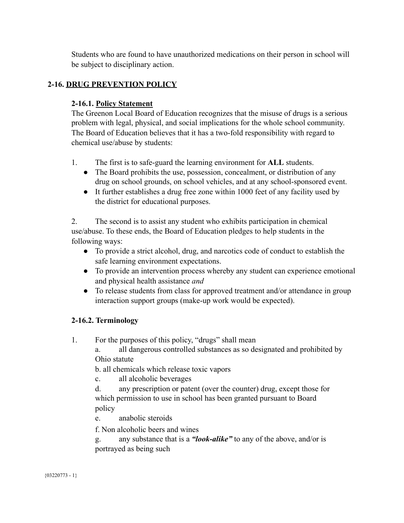Students who are found to have unauthorized medications on their person in school will be subject to disciplinary action.

#### <span id="page-18-0"></span>**2-16. DRUG PREVENTION POLICY**

#### **2-16.1. Policy Statement**

The Greenon Local Board of Education recognizes that the misuse of drugs is a serious problem with legal, physical, and social implications for the whole school community. The Board of Education believes that it has a two-fold responsibility with regard to chemical use/abuse by students:

- 1. The first is to safe-guard the learning environment for **ALL** students.
	- The Board prohibits the use, possession, concealment, or distribution of any drug on school grounds, on school vehicles, and at any school-sponsored event.
	- It further establishes a drug free zone within 1000 feet of any facility used by the district for educational purposes.

2. The second is to assist any student who exhibits participation in chemical use/abuse. To these ends, the Board of Education pledges to help students in the following ways:

- To provide a strict alcohol, drug, and narcotics code of conduct to establish the safe learning environment expectations.
- *●* To provide an intervention process whereby any student can experience emotional and physical health assistance *and*
- To release students from class for approved treatment and/or attendance in group interaction support groups (make-up work would be expected).

#### **2-16.2. Terminology**

1. For the purposes of this policy, "drugs" shall mean

a. all dangerous controlled substances as so designated and prohibited by Ohio statute

b. all chemicals which release toxic vapors

c. all alcoholic beverages

d. any prescription or patent (over the counter) drug, except those for which permission to use in school has been granted pursuant to Board policy

e. anabolic steroids

f. Non alcoholic beers and wines

g. any substance that is a *"look-alike"* to any of the above, and/or is portrayed as being such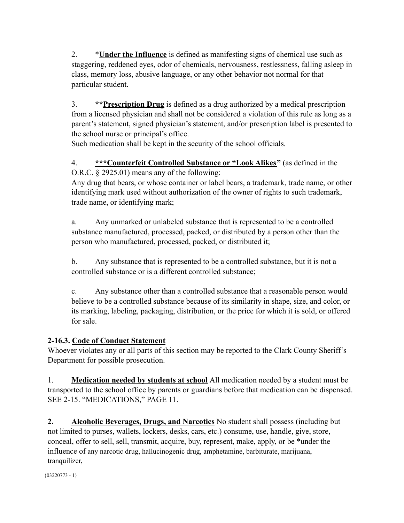2. \***Under the Influence** is defined as manifesting signs of chemical use such as staggering, reddened eyes, odor of chemicals, nervousness, restlessness, falling asleep in class, memory loss, abusive language, or any other behavior not normal for that particular student.

3. **\*\*Prescription Drug** is defined as a drug authorized by a medical prescription from a licensed physician and shall not be considered a violation of this rule as long as a parent's statement, signed physician's statement, and/or prescription label is presented to the school nurse or principal's office.

Such medication shall be kept in the security of the school officials.

4. **\*\*\*Counterfeit Controlled Substance or "Look Alikes"** (as defined in the O.R.C. § 2925.01) means any of the following:

Any drug that bears, or whose container or label bears, a trademark, trade name, or other identifying mark used without authorization of the owner of rights to such trademark, trade name, or identifying mark;

a. Any unmarked or unlabeled substance that is represented to be a controlled substance manufactured, processed, packed, or distributed by a person other than the person who manufactured, processed, packed, or distributed it;

b. Any substance that is represented to be a controlled substance, but it is not a controlled substance or is a different controlled substance;

c. Any substance other than a controlled substance that a reasonable person would believe to be a controlled substance because of its similarity in shape, size, and color, or its marking, labeling, packaging, distribution, or the price for which it is sold, or offered for sale.

#### **2-16.3. Code of Conduct Statement**

Whoever violates any or all parts of this section may be reported to the Clark County Sheriff's Department for possible prosecution.

1. **Medication needed by students at school** All medication needed by a student must be transported to the school office by parents or guardians before that medication can be dispensed. SEE 2-15. "MEDICATIONS," PAGE 11.

**2. Alcoholic Beverages, Drugs, and Narcotics** No student shall possess (including but not limited to purses, wallets, lockers, desks, cars, etc.) consume, use, handle, give, store, conceal, offer to sell, sell, transmit, acquire, buy, represent, make, apply, or be \*under the influence of any narcotic drug, hallucinogenic drug, amphetamine, barbiturate, marijuana, tranquilizer,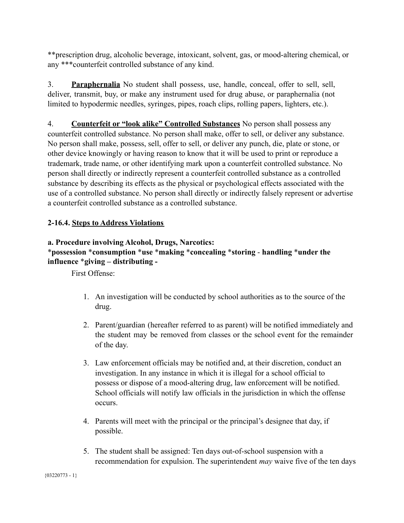\*\*prescription drug, alcoholic beverage, intoxicant, solvent, gas, or mood-altering chemical, or any \*\*\*counterfeit controlled substance of any kind.

3. **Paraphernalia** No student shall possess, use, handle, conceal, offer to sell, sell, deliver, transmit, buy, or make any instrument used for drug abuse, or paraphernalia (not limited to hypodermic needles, syringes, pipes, roach clips, rolling papers, lighters, etc.).

4. **Counterfeit or "look alike" Controlled Substances** No person shall possess any counterfeit controlled substance. No person shall make, offer to sell, or deliver any substance. No person shall make, possess, sell, offer to sell, or deliver any punch, die, plate or stone, or other device knowingly or having reason to know that it will be used to print or reproduce a trademark, trade name, or other identifying mark upon a counterfeit controlled substance. No person shall directly or indirectly represent a counterfeit controlled substance as a controlled substance by describing its effects as the physical or psychological effects associated with the use of a controlled substance. No person shall directly or indirectly falsely represent or advertise a counterfeit controlled substance as a controlled substance.

#### **2-16.4. Steps to Address Violations**

#### **a. Procedure involving Alcohol, Drugs, Narcotics:**

#### \***possession** \***consumption** \***use** \***making** \***concealing** \***storing** - **handling** \***under the influence** \***giving – distributing -**

First Offense:

- 1. An investigation will be conducted by school authorities as to the source of the drug.
- 2. Parent/guardian (hereafter referred to as parent) will be notified immediately and the student may be removed from classes or the school event for the remainder of the day.
- 3. Law enforcement officials may be notified and, at their discretion, conduct an investigation. In any instance in which it is illegal for a school official to possess or dispose of a mood-altering drug, law enforcement will be notified. School officials will notify law officials in the jurisdiction in which the offense occurs.
- 4. Parents will meet with the principal or the principal's designee that day, if possible.
- 5. The student shall be assigned: Ten days out-of-school suspension with a recommendation for expulsion. The superintendent *may* waive five of the ten days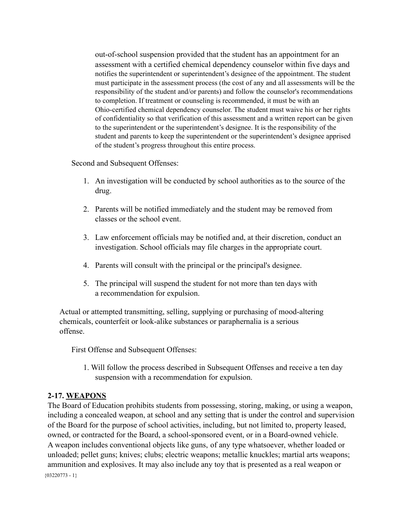out-of-school suspension provided that the student has an appointment for an assessment with a certified chemical dependency counselor within five days and notifies the superintendent or superintendent's designee of the appointment. The student must participate in the assessment process (the cost of any and all assessments will be the responsibility of the student and/or parents) and follow the counselor's recommendations to completion. If treatment or counseling is recommended, it must be with an Ohio-certified chemical dependency counselor. The student must waive his or her rights of confidentiality so that verification of this assessment and a written report can be given to the superintendent or the superintendent's designee. It is the responsibility of the student and parents to keep the superintendent or the superintendent's designee apprised of the student's progress throughout this entire process.

Second and Subsequent Offenses:

- 1. An investigation will be conducted by school authorities as to the source of the drug.
- 2. Parents will be notified immediately and the student may be removed from classes or the school event.
- 3. Law enforcement officials may be notified and, at their discretion, conduct an investigation. School officials may file charges in the appropriate court.
- 4. Parents will consult with the principal or the principal's designee.
- 5. The principal will suspend the student for not more than ten days with a recommendation for expulsion.

Actual or attempted transmitting, selling, supplying or purchasing of mood-altering chemicals, counterfeit or look-alike substances or paraphernalia is a serious offense.

First Offense and Subsequent Offenses:

1. Will follow the process described in Subsequent Offenses and receive a ten day suspension with a recommendation for expulsion.

#### <span id="page-21-0"></span>**2-17. WEAPONS**

The Board of Education prohibits students from possessing, storing, making, or using a weapon, including a concealed weapon, at school and any setting that is under the control and supervision of the Board for the purpose of school activities, including, but not limited to, property leased, owned, or contracted for the Board, a school-sponsored event, or in a Board-owned vehicle. A weapon includes conventional objects like guns, of any type whatsoever, whether loaded or unloaded; pellet guns; knives; clubs; electric weapons; metallic knuckles; martial arts weapons; ammunition and explosives. It may also include any toy that is presented as a real weapon or  ${03220773 - 1}$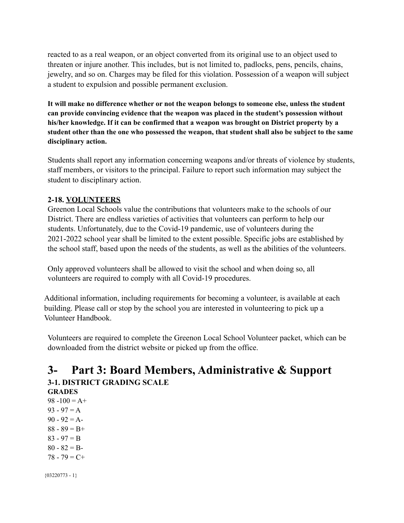reacted to as a real weapon, or an object converted from its original use to an object used to threaten or injure another. This includes, but is not limited to, padlocks, pens, pencils, chains, jewelry, and so on. Charges may be filed for this violation. Possession of a weapon will subject a student to expulsion and possible permanent exclusion.

**It will make no difference whether or not the weapon belongs to someone else, unless the student can provide convincing evidence that the weapon was placed in the student's possession without his/her knowledge. If it can be confirmed that a weapon was brought on District property by a** student other than the one who possessed the weapon, that student shall also be subject to the same **disciplinary action.**

Students shall report any information concerning weapons and/or threats of violence by students, staff members, or visitors to the principal. Failure to report such information may subject the student to disciplinary action.

#### <span id="page-22-0"></span>**2-18. VOLUNTEERS**

Greenon Local Schools value the contributions that volunteers make to the schools of our District. There are endless varieties of activities that volunteers can perform to help our students. Unfortunately, due to the Covid-19 pandemic, use of volunteers during the 2021-2022 school year shall be limited to the extent possible. Specific jobs are established by the school staff, based upon the needs of the students, as well as the abilities of the volunteers.

Only approved volunteers shall be allowed to visit the school and when doing so, all volunteers are required to comply with all Covid-19 procedures.

Additional information, including requirements for becoming a volunteer, is available at each building. Please call or stop by the school you are interested in volunteering to pick up a Volunteer Handbook.

Volunteers are required to complete the Greenon Local School Volunteer packet, which can be downloaded from the district website or picked up from the office.

### **3- Part 3: Board Members, Administrative & Support 3-1. DISTRICT GRADING SCALE**

```
GRADES
98 - 100 = A +93 - 97 = A90 - 92 = A88 - 89 = B +83 - 97 = B80 - 82 = B78 - 79 = C +
```
 ${03220773 - 1}$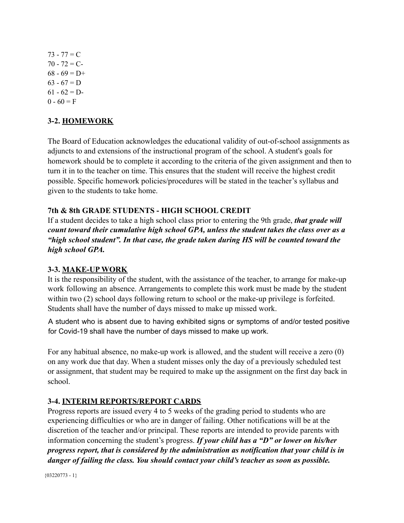$73 - 77 = C$  $70 - 72 = C$  $68 - 69 = D+$  $63 - 67 = D$  $61 - 62 = D$  $0 - 60 = F$ 

#### <span id="page-23-0"></span>**3-2. HOMEWORK**

The Board of Education acknowledges the educational validity of out-of-school assignments as adjuncts to and extensions of the instructional program of the school. A student's goals for homework should be to complete it according to the criteria of the given assignment and then to turn it in to the teacher on time. This ensures that the student will receive the highest credit possible. Specific homework policies/procedures will be stated in the teacher's syllabus and given to the students to take home.

#### **7th & 8th GRADE STUDENTS - HIGH SCHOOL CREDIT**

If a student decides to take a high school class prior to entering the 9th grade, *that grade will count toward their cumulative high school GPA, unless the student takes the class over as a "high school student". In that case, the grade taken during HS will be counted toward the high school GPA.*

#### <span id="page-23-1"></span>**3-3. MAKE-UP WORK**

It is the responsibility of the student, with the assistance of the teacher, to arrange for make-up work following an absence. Arrangements to complete this work must be made by the student within two (2) school days following return to school or the make-up privilege is forfeited. Students shall have the number of days missed to make up missed work.

A student who is absent due to having exhibited signs or symptoms of and/or tested positive for Covid-19 shall have the number of days missed to make up work.

For any habitual absence, no make-up work is allowed, and the student will receive a zero (0) on any work due that day. When a student misses only the day of a previously scheduled test or assignment, that student may be required to make up the assignment on the first day back in school.

#### <span id="page-23-2"></span>**3-4. INTERIM REPORTS/REPORT CARDS**

Progress reports are issued every 4 to 5 weeks of the grading period to students who are experiencing difficulties or who are in danger of failing. Other notifications will be at the discretion of the teacher and/or principal. These reports are intended to provide parents with information concerning the student's progress. *If your child has a "D" or lower on his/her progress report, that is considered by the administration as notification that your child is in danger of failing the class. You should contact your child's teacher as soon as possible.*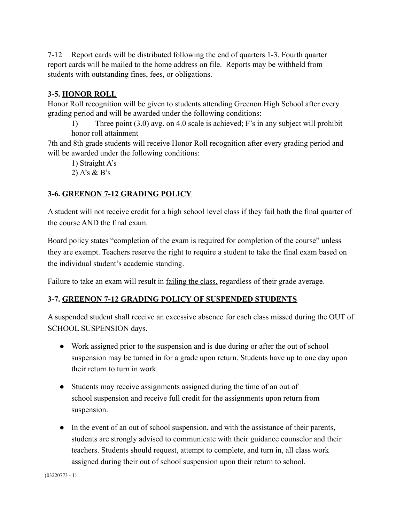7-12 Report cards will be distributed following the end of quarters 1-3. Fourth quarter report cards will be mailed to the home address on file. Reports may be withheld from students with outstanding fines, fees, or obligations.

#### <span id="page-24-0"></span>**3-5. HONOR ROLL**

Honor Roll recognition will be given to students attending Greenon High School after every grading period and will be awarded under the following conditions:

1) Three point (3.0) avg. on 4.0 scale is achieved; F's in any subject will prohibit honor roll attainment

7th and 8th grade students will receive Honor Roll recognition after every grading period and will be awarded under the following conditions:

1) Straight A's

2) A's & B's

#### <span id="page-24-1"></span>**3-6. GREENON 7-12 GRADING POLICY**

A student will not receive credit for a high school level class if they fail both the final quarter of the course AND the final exam.

Board policy states "completion of the exam is required for completion of the course" unless they are exempt. Teachers reserve the right to require a student to take the final exam based on the individual student's academic standing.

Failure to take an exam will result in failing the class, regardless of their grade average.

#### **3-7. GREENON 7-12 GRADING POLICY OF SUSPENDED STUDENTS**

A suspended student shall receive an excessive absence for each class missed during the OUT of SCHOOL SUSPENSION days.

- Work assigned prior to the suspension and is due during or after the out of school suspension may be turned in for a grade upon return. Students have up to one day upon their return to turn in work.
- Students may receive assignments assigned during the time of an out of school suspension and receive full credit for the assignments upon return from suspension.
- In the event of an out of school suspension, and with the assistance of their parents, students are strongly advised to communicate with their guidance counselor and their teachers. Students should request, attempt to complete, and turn in, all class work assigned during their out of school suspension upon their return to school.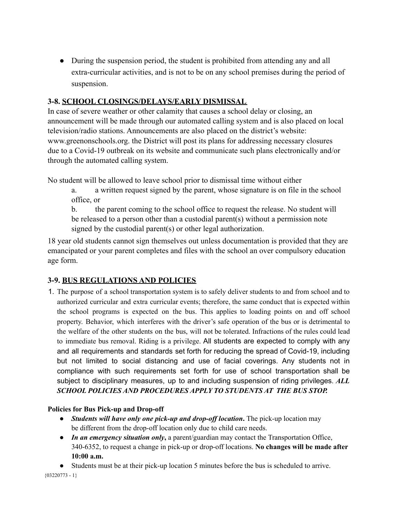• During the suspension period, the student is prohibited from attending any and all extra-curricular activities, and is not to be on any school premises during the period of suspension.

#### <span id="page-25-0"></span>**3-8. SCHOOL CLOSINGS/DELAYS/EARLY DISMISSAL**

In case of severe weather or other calamity that causes a school delay or closing, an announcement will be made through our automated calling system and is also placed on local television/radio stations. Announcements are also placed on the district's website: [www.greenonschools.org.](http://www.greenonschools.org/) the District will post its plans for addressing necessary closures due to a Covid-19 outbreak on its website and communicate such plans electronically and/or through the automated calling system.

No student will be allowed to leave school prior to dismissal time without either

a. a written request signed by the parent, whose signature is on file in the school office, or

b. the parent coming to the school office to request the release. No student will be released to a person other than a custodial parent(s) without a permission note signed by the custodial parent(s) or other legal authorization.

18 year old students cannot sign themselves out unless documentation is provided that they are emancipated or your parent completes and files with the school an over compulsory education age form.

#### <span id="page-25-1"></span>**3-9. BUS REGULATIONS AND POLICIES**

1. The purpose of a school transportation system is to safely deliver students to and from school and to authorized curricular and extra curricular events; therefore, the same conduct that is expected within the school programs is expected on the bus. This applies to loading points on and off school property. Behavior, which interferes with the driver's safe operation of the bus or is detrimental to the welfare of the other students on the bus, will not be tolerated. Infractions of the rules could lead to immediate bus removal. Riding is a privilege. All students are expected to comply with any and all requirements and standards set forth for reducing the spread of Covid-19, including but not limited to social distancing and use of facial coverings. Any students not in compliance with such requirements set forth for use of school transportation shall be subject to disciplinary measures, up to and including suspension of riding privileges. *ALL SCHOOL POLICIES AND PROCEDURES APPLY TO STUDENTS AT THE BUS STOP.*

#### **Policies for Bus Pick-up and Drop-off**

- *Students will have only one pick-up and drop-of location***.** The pick-up location may be different from the drop-off location only due to child care needs.
- *In an emergency situation only***,** a parent/guardian may contact the Transportation Office, 340-6352, to request a change in pick-up or drop-off locations. **No changes will be made after 10:00 a.m.**

● Students must be at their pick-up location 5 minutes before the bus is scheduled to arrive.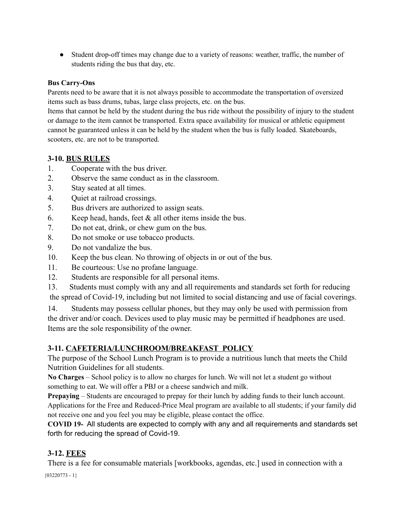● Student drop-off times may change due to a variety of reasons: weather, traffic, the number of students riding the bus that day, etc.

#### **Bus Carry-Ons**

Parents need to be aware that it is not always possible to accommodate the transportation of oversized items such as bass drums, tubas, large class projects, etc. on the bus.

Items that cannot be held by the student during the bus ride without the possibility of injury to the student or damage to the item cannot be transported. Extra space availability for musical or athletic equipment cannot be guaranteed unless it can be held by the student when the bus is fully loaded. Skateboards, scooters, etc. are not to be transported.

#### <span id="page-26-0"></span>**3-10. BUS RULES**

- 1. Cooperate with the bus driver.
- 2. Observe the same conduct as in the classroom.
- 3. Stay seated at all times.
- 4. Quiet at railroad crossings.
- 5. Bus drivers are authorized to assign seats.
- 6. Keep head, hands, feet & all other items inside the bus.
- 7. Do not eat, drink, or chew gum on the bus.
- 8. Do not smoke or use tobacco products.
- 9. Do not vandalize the bus.
- 10. Keep the bus clean. No throwing of objects in or out of the bus.
- 11. Be courteous: Use no profane language.
- 12. Students are responsible for all personal items.
- 13. Students must comply with any and all requirements and standards set forth for reducing the spread of Covid-19, including but not limited to social distancing and use of facial coverings.

14. Students may possess cellular phones, but they may only be used with permission from the driver and/or coach. Devices used to play music may be permitted if headphones are used. Items are the sole responsibility of the owner.

#### <span id="page-26-1"></span>**3-11. CAFETERIA/LUNCHROOM/BREAKFAST POLICY**

The purpose of the School Lunch Program is to provide a nutritious lunch that meets the Child Nutrition Guidelines for all students.

**No Charges** – School policy is to allow no charges for lunch. We will not let a student go without something to eat. We will offer a PBJ or a cheese sandwich and milk.

**Prepaying** – Students are encouraged to prepay for their lunch by adding funds to their lunch account. Applications for the Free and Reduced-Price Meal program are available to all students; if your family did not receive one and you feel you may be eligible, please contact the office.

**COVID 19-** All students are expected to comply with any and all requirements and standards set forth for reducing the spread of Covid-19.

#### <span id="page-26-2"></span>**3-12. FEES**

There is a fee for consumable materials [workbooks, agendas, etc.] used in connection with a  ${03220773 - 1}$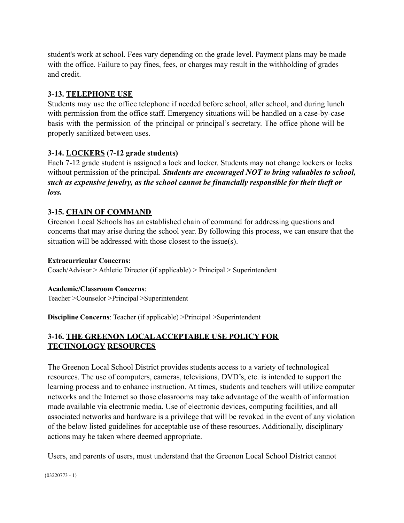student's work at school. Fees vary depending on the grade level. Payment plans may be made with the office. Failure to pay fines, fees, or charges may result in the withholding of grades and credit.

#### <span id="page-27-0"></span>**3-13. TELEPHONE USE**

Students may use the office telephone if needed before school, after school, and during lunch with permission from the office staff. Emergency situations will be handled on a case-by-case basis with the permission of the principal or principal's secretary. The office phone will be properly sanitized between uses.

#### **3-14. LOCKERS (7-12 grade students)**

Each 7-12 grade student is assigned a lock and locker. Students may not change lockers or locks without permission of the principal. *Students are encouraged NOT to bring valuables to school, such as expensive jewelry, as the school cannot be financially responsible for their theft or loss.*

#### <span id="page-27-1"></span>**3-15. CHAIN OF COMMAND**

Greenon Local Schools has an established chain of command for addressing questions and concerns that may arise during the school year. By following this process, we can ensure that the situation will be addressed with those closest to the issue(s).

#### **Extracurricular Concerns:**

Coach/Advisor > Athletic Director (if applicable) > Principal > Superintendent

#### **Academic/Classroom Concerns**:

Teacher >Counselor >Principal >Superintendent

**Discipline Concerns**: Teacher (if applicable) >Principal >Superintendent

#### <span id="page-27-2"></span>**3-16. THE GREENON LOCAL ACCEPTABLE USE POLICY FOR TECHNOLOGY RESOURCES**

The Greenon Local School District provides students access to a variety of technological resources. The use of computers, cameras, televisions, DVD's, etc. is intended to support the learning process and to enhance instruction. At times, students and teachers will utilize computer networks and the Internet so those classrooms may take advantage of the wealth of information made available via electronic media. Use of electronic devices, computing facilities, and all associated networks and hardware is a privilege that will be revoked in the event of any violation of the below listed guidelines for acceptable use of these resources. Additionally, disciplinary actions may be taken where deemed appropriate.

Users, and parents of users, must understand that the Greenon Local School District cannot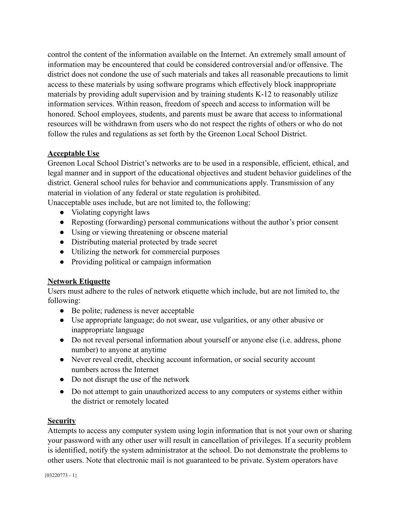control the content of the information available on the Internet. An extremely small amount of information may be encountered that could be considered controversial and/or offensive. The district does not condone the use of such materials and takes all reasonable precautions to limit access to these materials by using software programs which effectively block inappropriate materials by providing adult supervision and by training students K-12 to reasonably utilize information services. Within reason, freedom of speech and access to information will be honored. School employees, students, and parents must be aware that access to informational resources will be withdrawn from users who do not respect the rights of others or who do not follow the rules and regulations as set forth by the Greenon Local School District.

#### **Acceptable Use**

Greenon Local School District's networks are to be used in a responsible, efficient, ethical, and legal manner and in support of the educational objectives and student behavior guidelines of the district. General school rules for behavior and communications apply. Transmission of any material in violation of any federal or state regulation is prohibited.

Unacceptable uses include, but are not limited to, the following:

- Violating copyright laws
- Reposting (forwarding) personal communications without the author's prior consent
- Using or viewing threatening or obscene material
- Distributing material protected by trade secret
- Utilizing the network for commercial purposes
- Providing political or campaign information

#### **Network Etiquette**

Users must adhere to the rules of network etiquette which include, but are not limited to, the following:

- Be polite; rudeness is never acceptable
- Use appropriate language; do not swear, use vulgarities, or any other abusive or inappropriate language
- Do not reveal personal information about yourself or anyone else (i.e. address, phone number) to anyone at anytime
- Never reveal credit, checking account information, or social security account numbers across the Internet
- Do not disrupt the use of the network
- Do not attempt to gain unauthorized access to any computers or systems either within the district or remotely located

#### **Security**

Attempts to access any computer system using login information that is not your own or sharing your password with any other user will result in cancellation of privileges. If a security problem is identified, notify the system administrator at the school. Do not demonstrate the problems to other users. Note that electronic mail is not guaranteed to be private. System operators have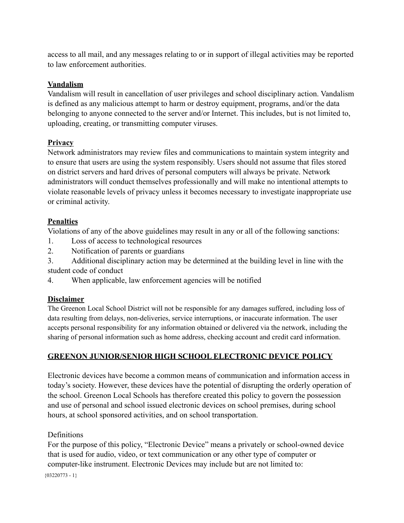access to all mail, and any messages relating to or in support of illegal activities may be reported to law enforcement authorities.

#### **Vandalism**

Vandalism will result in cancellation of user privileges and school disciplinary action. Vandalism is defined as any malicious attempt to harm or destroy equipment, programs, and/or the data belonging to anyone connected to the server and/or Internet. This includes, but is not limited to, uploading, creating, or transmitting computer viruses.

#### **Privacy**

Network administrators may review files and communications to maintain system integrity and to ensure that users are using the system responsibly. Users should not assume that files stored on district servers and hard drives of personal computers will always be private. Network administrators will conduct themselves professionally and will make no intentional attempts to violate reasonable levels of privacy unless it becomes necessary to investigate inappropriate use or criminal activity.

#### **Penalties**

Violations of any of the above guidelines may result in any or all of the following sanctions:

- 1. Loss of access to technological resources
- 2. Notification of parents or guardians

3. Additional disciplinary action may be determined at the building level in line with the student code of conduct

4. When applicable, law enforcement agencies will be notified

#### **Disclaimer**

The Greenon Local School District will not be responsible for any damages suffered, including loss of data resulting from delays, non-deliveries, service interruptions, or inaccurate information. The user accepts personal responsibility for any information obtained or delivered via the network, including the sharing of personal information such as home address, checking account and credit card information.

#### **GREENON JUNIOR/SENIOR HIGH SCHOOL ELECTRONIC DEVICE POLICY**

Electronic devices have become a common means of communication and information access in today's society. However, these devices have the potential of disrupting the orderly operation of the school. Greenon Local Schools has therefore created this policy to govern the possession and use of personal and school issued electronic devices on school premises, during school hours, at school sponsored activities, and on school transportation.

#### **Definitions**

For the purpose of this policy, "Electronic Device" means a privately or school-owned device that is used for audio, video, or text communication or any other type of computer or computer-like instrument. Electronic Devices may include but are not limited to:

 ${03220773 - 1}$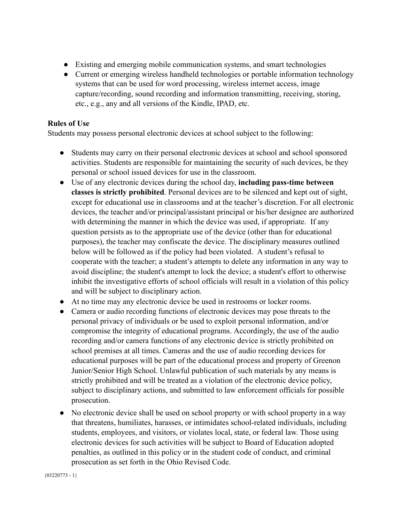- Existing and emerging mobile communication systems, and smart technologies
- Current or emerging wireless handheld technologies or portable information technology systems that can be used for word processing, wireless internet access, image capture/recording, sound recording and information transmitting, receiving, storing, etc., e.g., any and all versions of the Kindle, IPAD, etc.

#### **Rules of Use**

Students may possess personal electronic devices at school subject to the following:

- Students may carry on their personal electronic devices at school and school sponsored activities. Students are responsible for maintaining the security of such devices, be they personal or school issued devices for use in the classroom.
- Use of any electronic devices during the school day, **including pass-time between classes is strictly prohibited**. Personal devices are to be silenced and kept out of sight, except for educational use in classrooms and at the teacher's discretion. For all electronic devices, the teacher and/or principal/assistant principal or his/her designee are authorized with determining the manner in which the device was used, if appropriate. If any question persists as to the appropriate use of the device (other than for educational purposes), the teacher may confiscate the device. The disciplinary measures outlined below will be followed as if the policy had been violated. A student's refusal to cooperate with the teacher; a student's attempts to delete any information in any way to avoid discipline; the student's attempt to lock the device; a student's effort to otherwise inhibit the investigative efforts of school officials will result in a violation of this policy and will be subject to disciplinary action.
- At no time may any electronic device be used in restrooms or locker rooms.
- Camera or audio recording functions of electronic devices may pose threats to the personal privacy of individuals or be used to exploit personal information, and/or compromise the integrity of educational programs. Accordingly, the use of the audio recording and/or camera functions of any electronic device is strictly prohibited on school premises at all times. Cameras and the use of audio recording devices for educational purposes will be part of the educational process and property of Greenon Junior/Senior High School. Unlawful publication of such materials by any means is strictly prohibited and will be treated as a violation of the electronic device policy, subject to disciplinary actions, and submitted to law enforcement officials for possible prosecution.
- No electronic device shall be used on school property or with school property in a way that threatens, humiliates, harasses, or intimidates school-related individuals, including students, employees, and visitors, or violates local, state, or federal law. Those using electronic devices for such activities will be subject to Board of Education adopted penalties, as outlined in this policy or in the student code of conduct, and criminal prosecution as set forth in the Ohio Revised Code.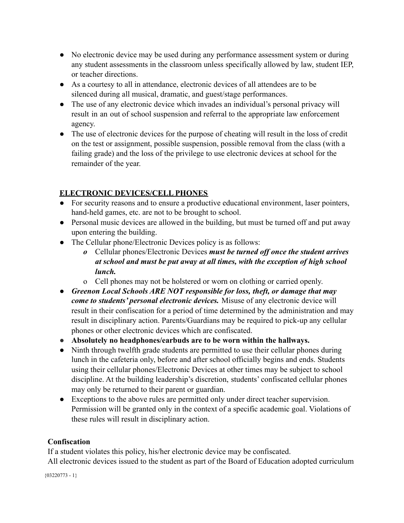- No electronic device may be used during any performance assessment system or during any student assessments in the classroom unless specifically allowed by law, student IEP, or teacher directions.
- As a courtesy to all in attendance, electronic devices of all attendees are to be silenced during all musical, dramatic, and guest/stage performances.
- The use of any electronic device which invades an individual's personal privacy will result in an out of school suspension and referral to the appropriate law enforcement agency.
- The use of electronic devices for the purpose of cheating will result in the loss of credit on the test or assignment, possible suspension, possible removal from the class (with a failing grade) and the loss of the privilege to use electronic devices at school for the remainder of the year.

#### **ELECTRONIC DEVICES/CELL PHONES**

- For security reasons and to ensure a productive educational environment, laser pointers, hand-held games, etc. are not to be brought to school.
- Personal music devices are allowed in the building, but must be turned off and put away upon entering the building.
- The Cellular phone/Electronic Devices policy is as follows:
	- *o* Cellular phones/Electronic Devices *must be turned off once the student arrives at school and must be put away at all times, with the exception of high school lunch.*
	- o Cell phones may not be holstered or worn on clothing or carried openly.
- *Greenon Local Schools ARE NOT responsible for loss, theft, or damage that may come to students' personal electronic devices.* Misuse of any electronic device will result in their confiscation for a period of time determined by the administration and may result in disciplinary action. Parents/Guardians may be required to pick-up any cellular phones or other electronic devices which are confiscated.
- **● Absolutely no headphones/earbuds are to be worn within the hallways.**
- Ninth through twelfth grade students are permitted to use their cellular phones during lunch in the cafeteria only, before and after school officially begins and ends. Students using their cellular phones/Electronic Devices at other times may be subject to school discipline. At the building leadership's discretion, students' confiscated cellular phones may only be returned to their parent or guardian.
- Exceptions to the above rules are permitted only under direct teacher supervision. Permission will be granted only in the context of a specific academic goal. Violations of these rules will result in disciplinary action.

#### **Confiscation**

If a student violates this policy, his/her electronic device may be confiscated.

All electronic devices issued to the student as part of the Board of Education adopted curriculum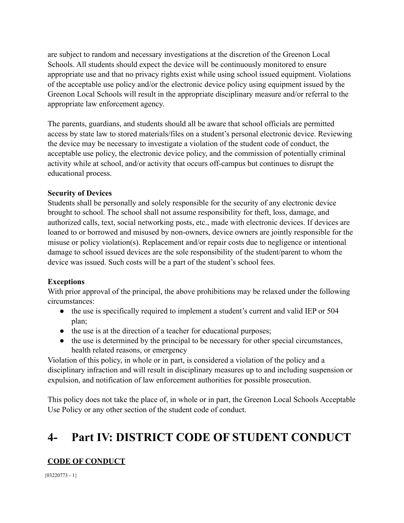are subject to random and necessary investigations at the discretion of the Greenon Local Schools. All students should expect the device will be continuously monitored to ensure appropriate use and that no privacy rights exist while using school issued equipment. Violations of the acceptable use policy and/or the electronic device policy using equipment issued by the Greenon Local Schools will result in the appropriate disciplinary measure and/or referral to the appropriate law enforcement agency.

The parents, guardians, and students should all be aware that school officials are permitted access by state law to stored materials/files on a student's personal electronic device. Reviewing the device may be necessary to investigate a violation of the student code of conduct, the acceptable use policy, the electronic device policy, and the commission of potentially criminal activity while at school, and/or activity that occurs off-campus but continues to disrupt the educational process.

#### **Security of Devices**

Students shall be personally and solely responsible for the security of any electronic device brought to school. The school shall not assume responsibility for theft, loss, damage, and authorized calls, text, social networking posts, etc., made with electronic devices. If devices are loaned to or borrowed and misused by non-owners, device owners are jointly responsible for the misuse or policy violation(s). Replacement and/or repair costs due to negligence or intentional damage to school issued devices are the sole responsibility of the student/parent to whom the device was issued. Such costs will be a part of the student's school fees.

#### **Exceptions**

With prior approval of the principal, the above prohibitions may be relaxed under the following circumstances:

- the use is specifically required to implement a student's current and valid IEP or 504 plan;
- the use is at the direction of a teacher for educational purposes;
- the use is determined by the principal to be necessary for other special circumstances, health related reasons, or emergency

Violation of this policy, in whole or in part, is considered a violation of the policy and a disciplinary infraction and will result in disciplinary measures up to and including suspension or expulsion, and notification of law enforcement authorities for possible prosecution.

This policy does not take the place of, in whole or in part, the Greenon Local Schools Acceptable Use Policy or any other section of the student code of conduct.

## **4- Part IV: DISTRICT CODE OF STUDENT CONDUCT**

#### **CODE OF CONDUCT**

 ${03220773 - 1}$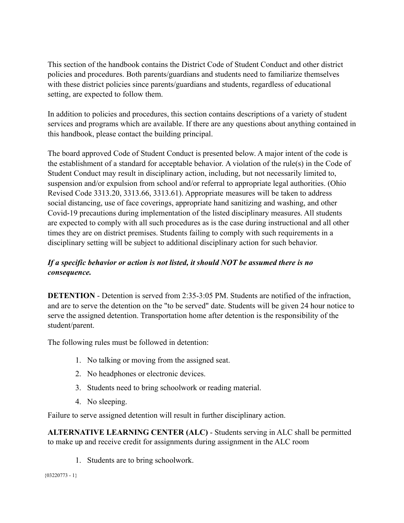This section of the handbook contains the District Code of Student Conduct and other district policies and procedures. Both parents/guardians and students need to familiarize themselves with these district policies since parents/guardians and students, regardless of educational setting, are expected to follow them.

In addition to policies and procedures, this section contains descriptions of a variety of student services and programs which are available. If there are any questions about anything contained in this handbook, please contact the building principal.

The board approved Code of Student Conduct is presented below. A major intent of the code is the establishment of a standard for acceptable behavior. A violation of the rule(s) in the Code of Student Conduct may result in disciplinary action, including, but not necessarily limited to, suspension and/or expulsion from school and/or referral to appropriate legal authorities. (Ohio Revised Code 3313.20, 3313.66, 3313.61). Appropriate measures will be taken to address social distancing, use of face coverings, appropriate hand sanitizing and washing, and other Covid-19 precautions during implementation of the listed disciplinary measures. All students are expected to comply with all such procedures as is the case during instructional and all other times they are on district premises. Students failing to comply with such requirements in a disciplinary setting will be subject to additional disciplinary action for such behavior.

#### *If a specific behavior or action is not listed, it should NOT be assumed there is no consequence.*

**DETENTION** - Detention is served from 2:35-3:05 PM. Students are notified of the infraction. and are to serve the detention on the "to be served" date. Students will be given 24 hour notice to serve the assigned detention. Transportation home after detention is the responsibility of the student/parent.

The following rules must be followed in detention:

- 1. No talking or moving from the assigned seat.
- 2. No headphones or electronic devices.
- 3. Students need to bring schoolwork or reading material.
- 4. No sleeping.

Failure to serve assigned detention will result in further disciplinary action.

**ALTERNATIVE LEARNING CENTER (ALC)** - Students serving in ALC shall be permitted to make up and receive credit for assignments during assignment in the ALC room

1. Students are to bring schoolwork.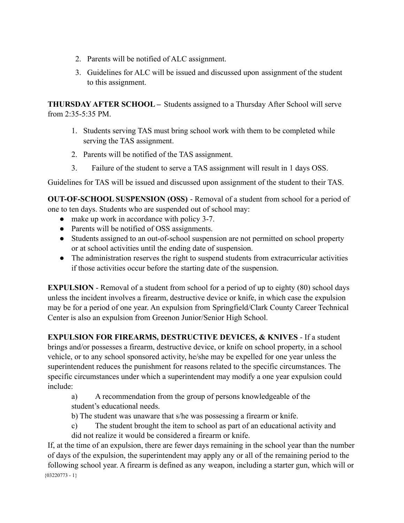- 2. Parents will be notified of ALC assignment.
- 3. Guidelines for ALC will be issued and discussed upon assignment of the student to this assignment.

**THURSDAY AFTER SCHOOL –** Students assigned to a Thursday After School will serve from  $2:35-5:35$  PM.

- 1. Students serving TAS must bring school work with them to be completed while serving the TAS assignment.
- 2. Parents will be notified of the TAS assignment.
- 3. Failure of the student to serve a TAS assignment will result in 1 days OSS.

Guidelines for TAS will be issued and discussed upon assignment of the student to their TAS.

**OUT-OF-SCHOOL SUSPENSION (OSS)** - Removal of a student from school for a period of one to ten days. Students who are suspended out of school may:

- make up work in accordance with policy 3-7.
- Parents will be notified of OSS assignments.
- Students assigned to an out-of-school suspension are not permitted on school property or at school activities until the ending date of suspension.
- The administration reserves the right to suspend students from extracurricular activities if those activities occur before the starting date of the suspension.

**EXPULSION** - Removal of a student from school for a period of up to eighty (80) school days unless the incident involves a firearm, destructive device or knife, in which case the expulsion may be for a period of one year. An expulsion from Springfield/Clark County Career Technical Center is also an expulsion from Greenon Junior/Senior High School.

**EXPULSION FOR FIREARMS, DESTRUCTIVE DEVICES, & KNIVES** - If a student brings and/or possesses a firearm, destructive device, or knife on school property, in a school vehicle, or to any school sponsored activity, he/she may be expelled for one year unless the superintendent reduces the punishment for reasons related to the specific circumstances. The specific circumstances under which a superintendent may modify a one year expulsion could include:

a) A recommendation from the group of persons knowledgeable of the student's educational needs.

b) The student was unaware that s/he was possessing a firearm or knife.

c) The student brought the item to school as part of an educational activity and did not realize it would be considered a firearm or knife.

If, at the time of an expulsion, there are fewer days remaining in the school year than the number of days of the expulsion, the superintendent may apply any or all of the remaining period to the following school year. A firearm is defined as any weapon, including a starter gun, which will or  ${03220773 - 1}$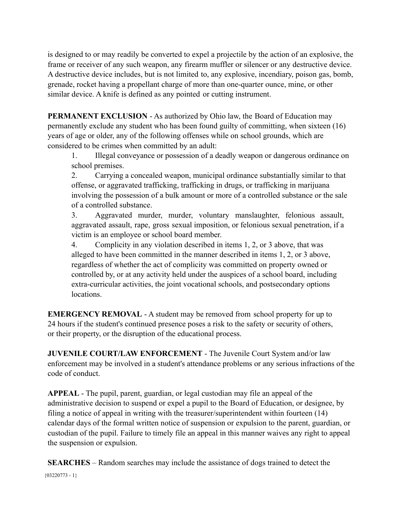is designed to or may readily be converted to expel a projectile by the action of an explosive, the frame or receiver of any such weapon, any firearm muffler or silencer or any destructive device. A destructive device includes, but is not limited to, any explosive, incendiary, poison gas, bomb, grenade, rocket having a propellant charge of more than one-quarter ounce, mine, or other similar device. A knife is defined as any pointed or cutting instrument.

**PERMANENT EXCLUSION** - As authorized by Ohio law, the Board of Education may permanently exclude any student who has been found guilty of committing, when sixteen (16) years of age or older, any of the following offenses while on school grounds, which are considered to be crimes when committed by an adult:

1. Illegal conveyance or possession of a deadly weapon or dangerous ordinance on school premises.

2. Carrying a concealed weapon, municipal ordinance substantially similar to that offense, or aggravated trafficking, trafficking in drugs, or trafficking in marijuana involving the possession of a bulk amount or more of a controlled substance or the sale of a controlled substance.

3. Aggravated murder, murder, voluntary manslaughter, felonious assault, aggravated assault, rape, gross sexual imposition, or felonious sexual penetration, if a victim is an employee or school board member.

4. Complicity in any violation described in items 1, 2, or 3 above, that was alleged to have been committed in the manner described in items 1, 2, or 3 above, regardless of whether the act of complicity was committed on property owned or controlled by, or at any activity held under the auspices of a school board, including extra-curricular activities, the joint vocational schools, and postsecondary options locations.

**EMERGENCY REMOVAL** - A student may be removed from school property for up to 24 hours if the student's continued presence poses a risk to the safety or security of others, or their property, or the disruption of the educational process.

**JUVENILE COURT/LAW ENFORCEMENT** - The Juvenile Court System and/or law enforcement may be involved in a student's attendance problems or any serious infractions of the code of conduct.

**APPEAL** - The pupil, parent, guardian, or legal custodian may file an appeal of the administrative decision to suspend or expel a pupil to the Board of Education, or designee, by filing a notice of appeal in writing with the treasurer/superintendent within fourteen (14) calendar days of the formal written notice of suspension or expulsion to the parent, guardian, or custodian of the pupil. Failure to timely file an appeal in this manner waives any right to appeal the suspension or expulsion.

**SEARCHES** – Random searches may include the assistance of dogs trained to detect the  ${03220773 - 1}$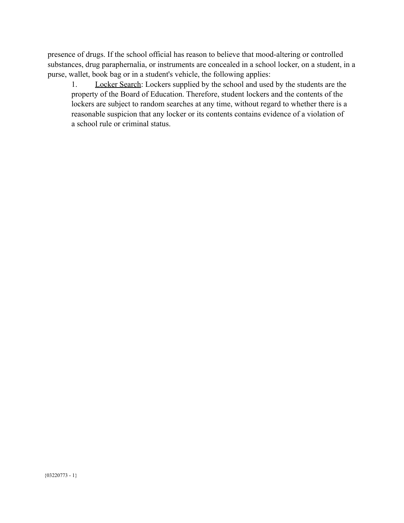presence of drugs. If the school official has reason to believe that mood-altering or controlled substances, drug paraphernalia, or instruments are concealed in a school locker, on a student, in a purse, wallet, book bag or in a student's vehicle, the following applies:

1. Locker Search: Lockers supplied by the school and used by the students are the property of the Board of Education. Therefore, student lockers and the contents of the lockers are subject to random searches at any time, without regard to whether there is a reasonable suspicion that any locker or its contents contains evidence of a violation of a school rule or criminal status.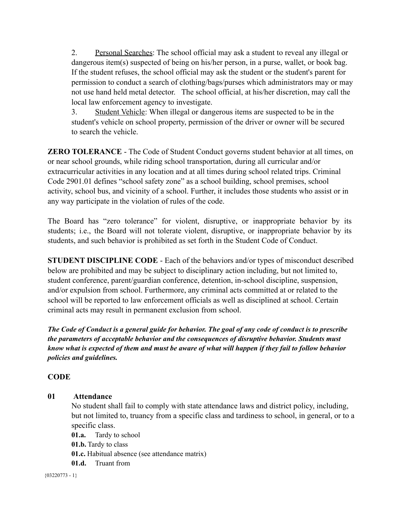2. Personal Searches: The school official may ask a student to reveal any illegal or dangerous item(s) suspected of being on his/her person, in a purse, wallet, or book bag. If the student refuses, the school official may ask the student or the student's parent for permission to conduct a search of clothing/bags/purses which administrators may or may not use hand held metal detector. The school official, at his/her discretion, may call the local law enforcement agency to investigate.

3. Student Vehicle: When illegal or dangerous items are suspected to be in the student's vehicle on school property, permission of the driver or owner will be secured to search the vehicle.

**ZERO TOLERANCE** - The Code of Student Conduct governs student behavior at all times, on or near school grounds, while riding school transportation, during all curricular and/or extracurricular activities in any location and at all times during school related trips. Criminal Code 2901.01 defines "school safety zone" as a school building, school premises, school activity, school bus, and vicinity of a school. Further, it includes those students who assist or in any way participate in the violation of rules of the code.

The Board has "zero tolerance" for violent, disruptive, or inappropriate behavior by its students; i.e., the Board will not tolerate violent, disruptive, or inappropriate behavior by its students, and such behavior is prohibited as set forth in the Student Code of Conduct.

**STUDENT DISCIPLINE CODE** - Each of the behaviors and/or types of misconduct described below are prohibited and may be subject to disciplinary action including, but not limited to, student conference, parent/guardian conference, detention, in-school discipline, suspension, and/or expulsion from school. Furthermore, any criminal acts committed at or related to the school will be reported to law enforcement officials as well as disciplined at school. Certain criminal acts may result in permanent exclusion from school.

The Code of Conduct is a general guide for behavior. The goal of any code of conduct is to prescribe *the parameters of acceptable behavior and the consequences of disruptive behavior. Students must* know what is expected of them and must be aware of what will happen if they fail to follow behavior *policies and guidelines.*

#### **CODE**

#### **01 Attendance**

No student shall fail to comply with state attendance laws and district policy, including, but not limited to, truancy from a specific class and tardiness to school, in general, or to a specific class.

**01.a.** Tardy to school

**01.b.** Tardy to class

**01.c.** Habitual absence (see attendance matrix)

**01.d.** Truant from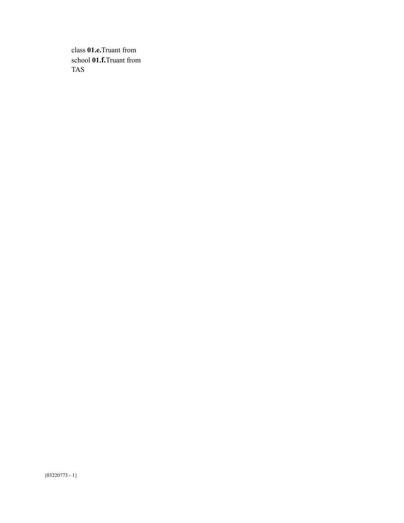class **01.e.**Truant from school **01.f.**Truant from TAS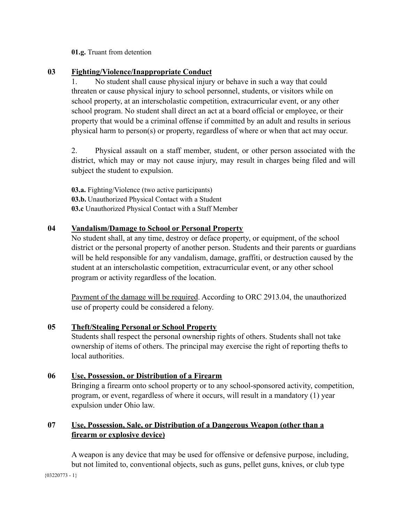#### **01.g.** Truant from detention

**03 Fighting/Violence/Inappropriate Conduct**

1. No student shall cause physical injury or behave in such a way that could threaten or cause physical injury to school personnel, students, or visitors while on school property, at an interscholastic competition, extracurricular event, or any other school program. No student shall direct an act at a board official or employee, or their property that would be a criminal offense if committed by an adult and results in serious physical harm to person(s) or property, regardless of where or when that act may occur.

2. Physical assault on a staff member, student, or other person associated with the district, which may or may not cause injury, may result in charges being filed and will subject the student to expulsion.

**03.a.** Fighting/Violence (two active participants) **03.b.** Unauthorized Physical Contact with a Student **03.c** Unauthorized Physical Contact with a Staff Member

#### **04 Vandalism/Damage to School or Personal Property**

No student shall, at any time, destroy or deface property, or equipment, of the school district or the personal property of another person. Students and their parents or guardians will be held responsible for any vandalism, damage, graffiti, or destruction caused by the student at an interscholastic competition, extracurricular event, or any other school program or activity regardless of the location.

Payment of the damage will be required. According to ORC 2913.04, the unauthorized use of property could be considered a felony.

#### **05 Theft/Stealing Personal or School Property**

Students shall respect the personal ownership rights of others. Students shall not take ownership of items of others. The principal may exercise the right of reporting thefts to local authorities.

#### **06 Use, Possession, or Distribution of a Firearm**

Bringing a firearm onto school property or to any school-sponsored activity, competition, program, or event, regardless of where it occurs, will result in a mandatory (1) year expulsion under Ohio law.

#### **07 Use, Possession, Sale, or Distribution of a Dangerous Weapon (other than a firearm or explosive device)**

A weapon is any device that may be used for offensive or defensive purpose, including, but not limited to, conventional objects, such as guns, pellet guns, knives, or club type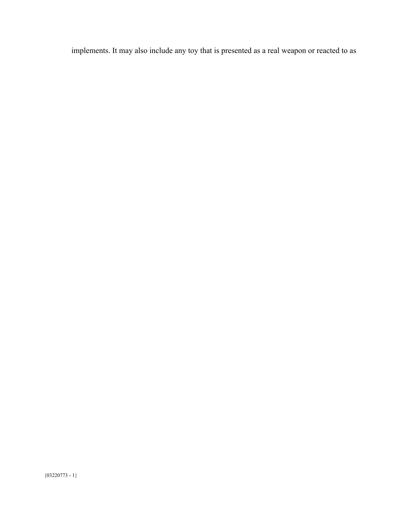implements. It may also include any toy that is presented as a real weapon or reacted to as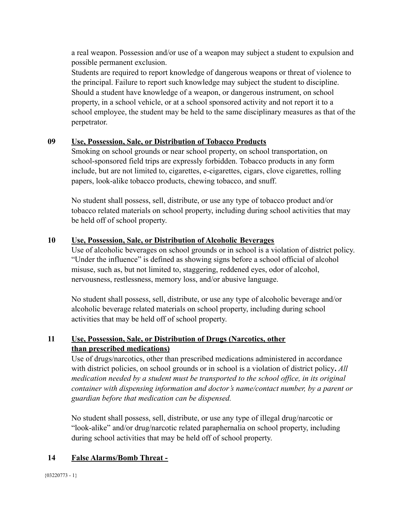a real weapon. Possession and/or use of a weapon may subject a student to expulsion and possible permanent exclusion.

Students are required to report knowledge of dangerous weapons or threat of violence to the principal. Failure to report such knowledge may subject the student to discipline. Should a student have knowledge of a weapon, or dangerous instrument, on school property, in a school vehicle, or at a school sponsored activity and not report it to a school employee, the student may be held to the same disciplinary measures as that of the perpetrator.

#### **09 Use, Possession, Sale, or Distribution of Tobacco Products**

Smoking on school grounds or near school property, on school transportation, on school-sponsored field trips are expressly forbidden. Tobacco products in any form include, but are not limited to, cigarettes, e-cigarettes, cigars, clove cigarettes, rolling papers, look-alike tobacco products, chewing tobacco, and snuff.

No student shall possess, sell, distribute, or use any type of tobacco product and/or tobacco related materials on school property, including during school activities that may be held off of school property.

#### **10 Use, Possession, Sale, or Distribution of Alcoholic Beverages**

Use of alcoholic beverages on school grounds or in school is a violation of district policy. "Under the influence" is defined as showing signs before a school official of alcohol misuse, such as, but not limited to, staggering, reddened eyes, odor of alcohol, nervousness, restlessness, memory loss, and/or abusive language.

No student shall possess, sell, distribute, or use any type of alcoholic beverage and/or alcoholic beverage related materials on school property, including during school activities that may be held off of school property.

#### **11 Use, Possession, Sale, or Distribution of Drugs (Narcotics, other than prescribed medications)**

Use of drugs/narcotics, other than prescribed medications administered in accordance with district policies, on school grounds or in school is a violation of district policy**.** *All medication needed by a student must be transported to the school office, in its original container with dispensing information and doctor's name/contact number, by a parent or guardian before that medication can be dispensed.*

No student shall possess, sell, distribute, or use any type of illegal drug/narcotic or "look-alike" and/or drug/narcotic related paraphernalia on school property, including during school activities that may be held off of school property.

#### **14 False Alarms/Bomb Threat -**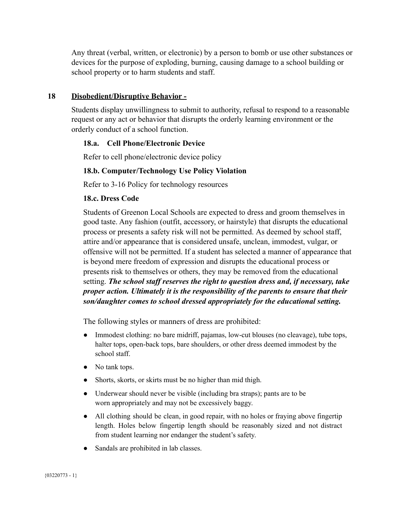Any threat (verbal, written, or electronic) by a person to bomb or use other substances or devices for the purpose of exploding, burning, causing damage to a school building or school property or to harm students and staff.

#### **18 Disobedient/Disruptive Behavior -**

Students display unwillingness to submit to authority, refusal to respond to a reasonable request or any act or behavior that disrupts the orderly learning environment or the orderly conduct of a school function.

#### **18.a. Cell Phone/Electronic Device**

Refer to cell phone/electronic device policy

#### **18.b. Computer/Technology Use Policy Violation**

Refer to 3-16 Policy for technology resources

#### **18.c. Dress Code**

Students of Greenon Local Schools are expected to dress and groom themselves in good taste. Any fashion (outfit, accessory, or hairstyle) that disrupts the educational process or presents a safety risk will not be permitted. As deemed by school staff, attire and/or appearance that is considered unsafe, unclean, immodest, vulgar, or offensive will not be permitted. If a student has selected a manner of appearance that is beyond mere freedom of expression and disrupts the educational process or presents risk to themselves or others, they may be removed from the educational setting. *The school staff reserves the right to question dress and, if necessary, take proper action. Ultimately it is the responsibility of the parents to ensure that their son/daughter comes to school dressed appropriately for the educational setting.*

The following styles or manners of dress are prohibited:

- Immodest clothing: no bare midriff, pajamas, low-cut blouses (no cleavage), tube tops, halter tops, open-back tops, bare shoulders, or other dress deemed immodest by the school staff.
- No tank tops.
- Shorts, skorts, or skirts must be no higher than mid thigh.
- Underwear should never be visible (including bra straps); pants are to be worn appropriately and may not be excessively baggy.
- All clothing should be clean, in good repair, with no holes or fraying above fingertip length. Holes below fingertip length should be reasonably sized and not distract from student learning nor endanger the student's safety.
- Sandals are prohibited in lab classes.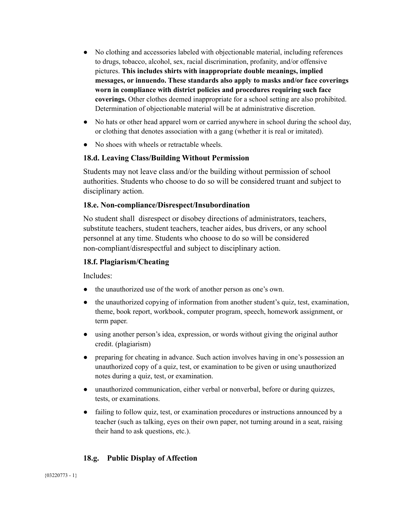- No clothing and accessories labeled with objectionable material, including references to drugs, tobacco, alcohol, sex, racial discrimination, profanity, and/or offensive pictures. **This includes shirts with inappropriate double meanings, implied messages, or innuendo. These standards also apply to masks and/or face coverings worn in compliance with district policies and procedures requiring such face coverings.** Other clothes deemed inappropriate for a school setting are also prohibited. Determination of objectionable material will be at administrative discretion.
- No hats or other head apparel worn or carried anywhere in school during the school day, or clothing that denotes association with a gang (whether it is real or imitated).
- No shoes with wheels or retractable wheels.

#### **18.d. Leaving Class/Building Without Permission**

Students may not leave class and/or the building without permission of school authorities. Students who choose to do so will be considered truant and subject to disciplinary action.

#### **18.e. Non-compliance/Disrespect/Insubordination**

No student shall disrespect or disobey directions of administrators, teachers, substitute teachers, student teachers, teacher aides, bus drivers, or any school personnel at any time. Students who choose to do so will be considered non-compliant/disrespectful and subject to disciplinary action.

#### **18.f. Plagiarism/Cheating**

Includes:

- the unauthorized use of the work of another person as one's own.
- the unauthorized copying of information from another student's quiz, test, examination, theme, book report, workbook, computer program, speech, homework assignment, or term paper.
- using another person's idea, expression, or words without giving the original author credit. (plagiarism)
- preparing for cheating in advance. Such action involves having in one's possession an unauthorized copy of a quiz, test, or examination to be given or using unauthorized notes during a quiz, test, or examination.
- unauthorized communication, either verbal or nonverbal, before or during quizzes, tests, or examinations.
- failing to follow quiz, test, or examination procedures or instructions announced by a teacher (such as talking, eyes on their own paper, not turning around in a seat, raising their hand to ask questions, etc.).

#### **18.g. Public Display of Affection**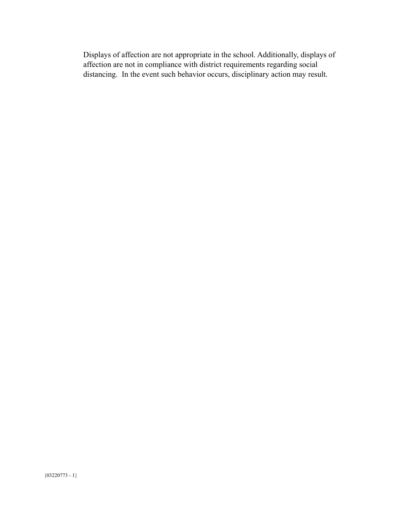Displays of affection are not appropriate in the school. Additionally, displays of affection are not in compliance with district requirements regarding social distancing. In the event such behavior occurs, disciplinary action may result.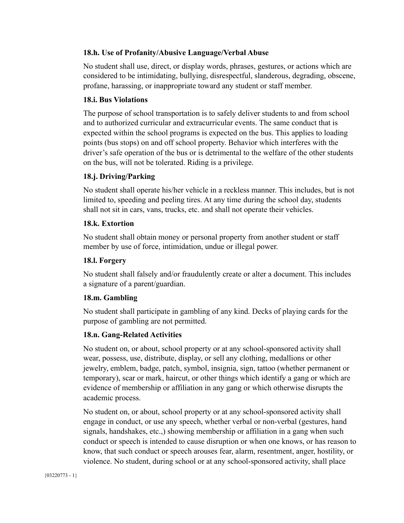#### **18.h. Use of Profanity/Abusive Language/Verbal Abuse**

No student shall use, direct, or display words, phrases, gestures, or actions which are considered to be intimidating, bullying, disrespectful, slanderous, degrading, obscene, profane, harassing, or inappropriate toward any student or staff member.

#### **18.i. Bus Violations**

The purpose of school transportation is to safely deliver students to and from school and to authorized curricular and extracurricular events. The same conduct that is expected within the school programs is expected on the bus. This applies to loading points (bus stops) on and off school property. Behavior which interferes with the driver's safe operation of the bus or is detrimental to the welfare of the other students on the bus, will not be tolerated. Riding is a privilege.

#### **18.j. Driving/Parking**

No student shall operate his/her vehicle in a reckless manner. This includes, but is not limited to, speeding and peeling tires. At any time during the school day, students shall not sit in cars, vans, trucks, etc. and shall not operate their vehicles.

#### **18.k. Extortion**

No student shall obtain money or personal property from another student or staff member by use of force, intimidation, undue or illegal power.

#### **18.l. Forgery**

No student shall falsely and/or fraudulently create or alter a document. This includes a signature of a parent/guardian.

#### **18.m. Gambling**

No student shall participate in gambling of any kind. Decks of playing cards for the purpose of gambling are not permitted.

#### **18.n. Gang-Related Activities**

No student on, or about, school property or at any school-sponsored activity shall wear, possess, use, distribute, display, or sell any clothing, medallions or other jewelry, emblem, badge, patch, symbol, insignia, sign, tattoo (whether permanent or temporary), scar or mark, haircut, or other things which identify a gang or which are evidence of membership or affiliation in any gang or which otherwise disrupts the academic process.

No student on, or about, school property or at any school-sponsored activity shall engage in conduct, or use any speech, whether verbal or non-verbal (gestures, hand signals, handshakes, etc.,) showing membership or affiliation in a gang when such conduct or speech is intended to cause disruption or when one knows, or has reason to know, that such conduct or speech arouses fear, alarm, resentment, anger, hostility, or violence. No student, during school or at any school-sponsored activity, shall place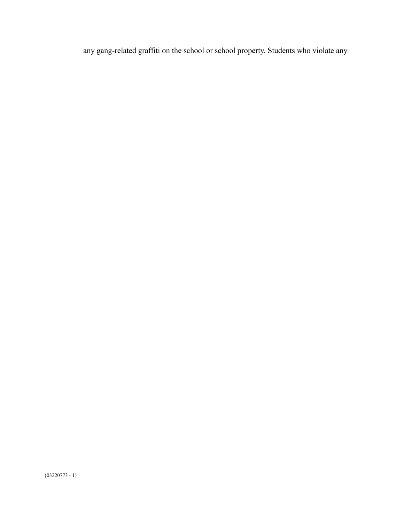any gang-related graffiti on the school or school property. Students who violate any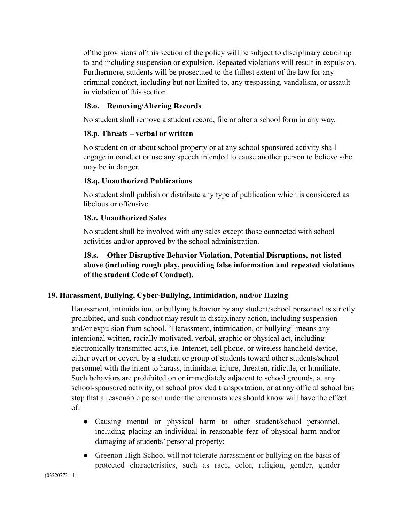of the provisions of this section of the policy will be subject to disciplinary action up to and including suspension or expulsion. Repeated violations will result in expulsion. Furthermore, students will be prosecuted to the fullest extent of the law for any criminal conduct, including but not limited to, any trespassing, vandalism, or assault in violation of this section.

#### **18.o. Removing/Altering Records**

No student shall remove a student record, file or alter a school form in any way.

#### **18.p. Threats – verbal or written**

No student on or about school property or at any school sponsored activity shall engage in conduct or use any speech intended to cause another person to believe s/he may be in danger.

#### **18.q. Unauthorized Publications**

No student shall publish or distribute any type of publication which is considered as libelous or offensive.

#### **18.r. Unauthorized Sales**

No student shall be involved with any sales except those connected with school activities and/or approved by the school administration.

#### **18.s. Other Disruptive Behavior Violation, Potential Disruptions, not listed above (including rough play, providing false information and repeated violations of the student Code of Conduct).**

#### **19. Harassment, Bullying, Cyber-Bullying, Intimidation, and/or Hazing**

Harassment, intimidation, or bullying behavior by any student/school personnel is strictly prohibited, and such conduct may result in disciplinary action, including suspension and/or expulsion from school. "Harassment, intimidation, or bullying" means any intentional written, racially motivated, verbal, graphic or physical act, including electronically transmitted acts, i.e. Internet, cell phone, or wireless handheld device, either overt or covert, by a student or group of students toward other students/school personnel with the intent to harass, intimidate, injure, threaten, ridicule, or humiliate. Such behaviors are prohibited on or immediately adjacent to school grounds, at any school-sponsored activity, on school provided transportation, or at any official school bus stop that a reasonable person under the circumstances should know will have the effect of:

- Causing mental or physical harm to other student/school personnel, including placing an individual in reasonable fear of physical harm and/or damaging of students' personal property;
- Greenon High School will not tolerate harassment or bullying on the basis of protected characteristics, such as race, color, religion, gender, gender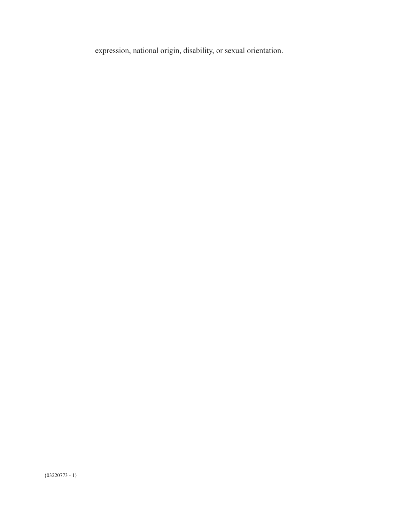expression, national origin, disability, or sexual orientation.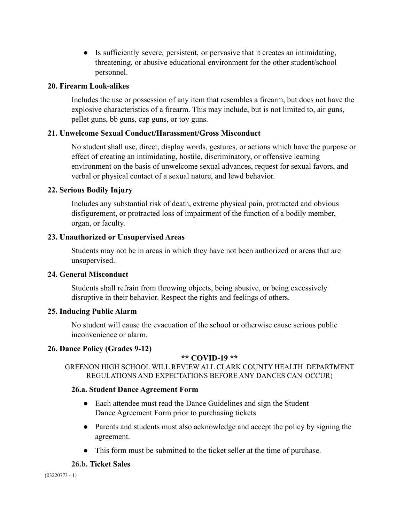● Is sufficiently severe, persistent, or pervasive that it creates an intimidating, threatening, or abusive educational environment for the other student/school personnel.

#### **20. Firearm Look-alikes**

Includes the use or possession of any item that resembles a firearm, but does not have the explosive characteristics of a firearm. This may include, but is not limited to, air guns, pellet guns, bb guns, cap guns, or toy guns.

#### **21. Unwelcome Sexual Conduct/Harassment/Gross Misconduct**

No student shall use, direct, display words, gestures, or actions which have the purpose or effect of creating an intimidating, hostile, discriminatory, or offensive learning environment on the basis of unwelcome sexual advances, request for sexual favors, and verbal or physical contact of a sexual nature, and lewd behavior.

#### **22. Serious Bodily Injury**

Includes any substantial risk of death, extreme physical pain, protracted and obvious disfigurement, or protracted loss of impairment of the function of a bodily member, organ, or faculty.

#### **23. Unauthorized or Unsupervised Areas**

Students may not be in areas in which they have not been authorized or areas that are unsupervised.

#### **24. General Misconduct**

Students shall refrain from throwing objects, being abusive, or being excessively disruptive in their behavior. Respect the rights and feelings of others.

#### **25. Inducing Public Alarm**

No student will cause the evacuation of the school or otherwise cause serious public inconvenience or alarm.

#### **26. Dance Policy (Grades 9-12)**

#### **\*\* COVID-19 \*\***

GREENON HIGH SCHOOL WILL REVIEW ALL CLARK COUNTY HEALTH DEPARTMENT REGULATIONS AND EXPECTATIONS BEFORE ANY DANCES CAN OCCUR)

#### **26.a. Student Dance Agreement Form**

- Each attendee must read the Dance Guidelines and sign the Student Dance Agreement Form prior to purchasing tickets
- Parents and students must also acknowledge and accept the policy by signing the agreement.
- This form must be submitted to the ticket seller at the time of purchase.

#### **26.b. Ticket Sales**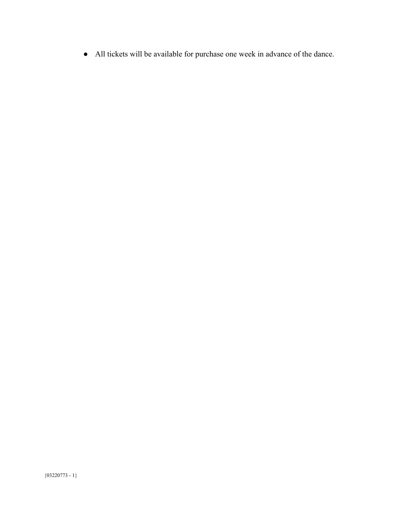● All tickets will be available for purchase one week in advance of the dance.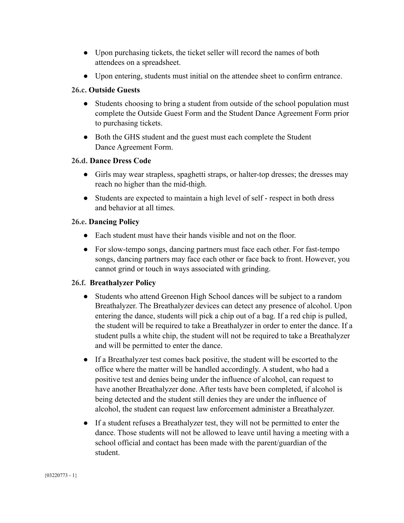- Upon purchasing tickets, the ticket seller will record the names of both attendees on a spreadsheet.
- Upon entering, students must initial on the attendee sheet to confirm entrance.

#### **26.c. Outside Guests**

- Students choosing to bring a student from outside of the school population must complete the Outside Guest Form and the Student Dance Agreement Form prior to purchasing tickets.
- Both the GHS student and the guest must each complete the Student Dance Agreement Form.

#### **26.d. Dance Dress Code**

- Girls may wear strapless, spaghetti straps, or halter-top dresses; the dresses may reach no higher than the mid-thigh.
- Students are expected to maintain a high level of self respect in both dress and behavior at all times.

#### **26.e. Dancing Policy**

- Each student must have their hands visible and not on the floor.
- For slow-tempo songs, dancing partners must face each other. For fast-tempo songs, dancing partners may face each other or face back to front. However, you cannot grind or touch in ways associated with grinding.

#### **26.f. Breathalyzer Policy**

- Students who attend Greenon High School dances will be subject to a random Breathalyzer. The Breathalyzer devices can detect any presence of alcohol. Upon entering the dance, students will pick a chip out of a bag. If a red chip is pulled, the student will be required to take a Breathalyzer in order to enter the dance. If a student pulls a white chip, the student will not be required to take a Breathalyzer and will be permitted to enter the dance.
- If a Breathalyzer test comes back positive, the student will be escorted to the office where the matter will be handled accordingly. A student, who had a positive test and denies being under the influence of alcohol, can request to have another Breathalyzer done. After tests have been completed, if alcohol is being detected and the student still denies they are under the influence of alcohol, the student can request law enforcement administer a Breathalyzer.
- If a student refuses a Breathalyzer test, they will not be permitted to enter the dance. Those students will not be allowed to leave until having a meeting with a school official and contact has been made with the parent/guardian of the student.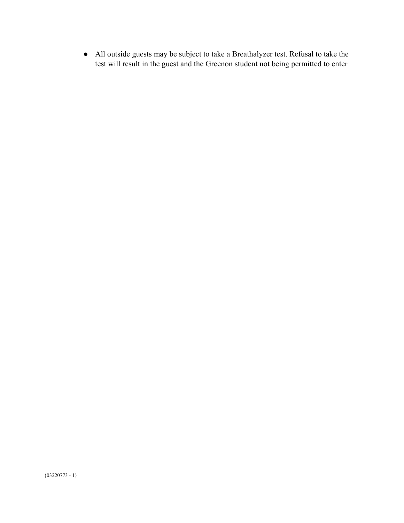● All outside guests may be subject to take a Breathalyzer test. Refusal to take the test will result in the guest and the Greenon student not being permitted to enter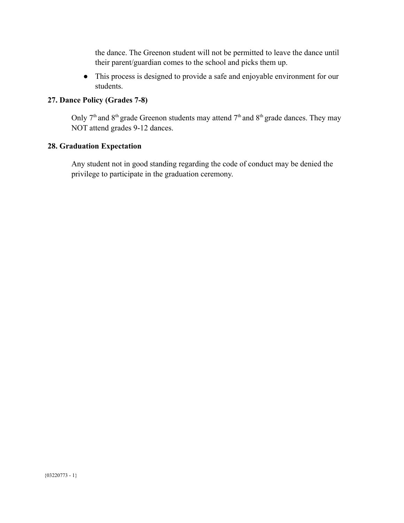the dance. The Greenon student will not be permitted to leave the dance until their parent/guardian comes to the school and picks them up.

● This process is designed to provide a safe and enjoyable environment for our students.

#### **27. Dance Policy (Grades 7-8)**

Only  $7<sup>th</sup>$  and  $8<sup>th</sup>$  grade Greenon students may attend  $7<sup>th</sup>$  and  $8<sup>th</sup>$  grade dances. They may NOT attend grades 9-12 dances.

#### **28. Graduation Expectation**

Any student not in good standing regarding the code of conduct may be denied the privilege to participate in the graduation ceremony.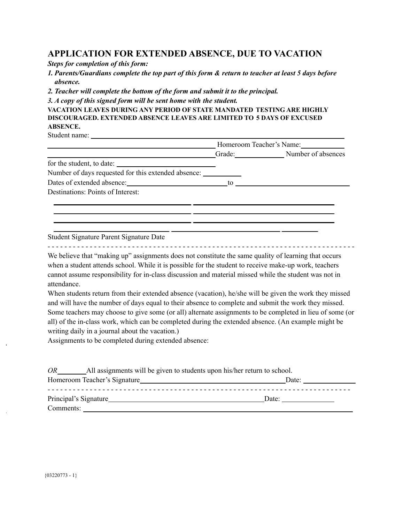#### **APPLICATION FOR EXTENDED ABSENCE, DUE TO VACATION**

*Steps for completion of this form:*

*1. Parents/Guardians complete the top part of this form & return to teacher at least 5 days before absence.*

*2. Teacher will complete the bottom of the form and submit it to the principal.*

*3. A copy of this signed form will be sent home with the student.*

**VACATION LEAVES DURING ANY PERIOD OF STATE MANDATED TESTING ARE HIGHLY DISCOURAGED. EXTENDED ABSENCE LEAVES ARE LIMITED TO 5 DAYS OF EXCUSED ABSENCE.**

Student name:

|                                                                                   | Homeroom Teacher's Name: |                           |
|-----------------------------------------------------------------------------------|--------------------------|---------------------------|
|                                                                                   |                          | Grade: Number of absences |
| for the student, to date:                                                         |                          |                           |
| Number of days requested for this extended absence: _____________________________ |                          |                           |
| Dates of extended absence:                                                        | to                       |                           |
| Destinations: Points of Interest:                                                 |                          |                           |
|                                                                                   |                          |                           |
|                                                                                   |                          |                           |
|                                                                                   |                          |                           |
|                                                                                   |                          |                           |

Student Signature Parent Signature Date

- - - - - - - - - - - - - - - - - - - - - - - - - - - - - - - - - - - - - - - - - - - - - - - - - - - - - - - - - - - - - - - - - - - - - - - - -

We believe that "making up" assignments does not constitute the same quality of learning that occurs when a student attends school. While it is possible for the student to receive make-up work, teachers cannot assume responsibility for in-class discussion and material missed while the student was not in attendance.

When students return from their extended absence (vacation), he/she will be given the work they missed and will have the number of days equal to their absence to complete and submit the work they missed. Some teachers may choose to give some (or all) alternate assignments to be completed in lieu of some (or all) of the in-class work, which can be completed during the extended absence. (An example might be writing daily in a journal about the vacation.)

Assignments to be completed during extended absence:

| <b>OR</b><br>All assignments will be given to students upon his/her return to school. |       |  |
|---------------------------------------------------------------------------------------|-------|--|
|                                                                                       | Date: |  |
|                                                                                       | Date: |  |
| Comments:                                                                             |       |  |